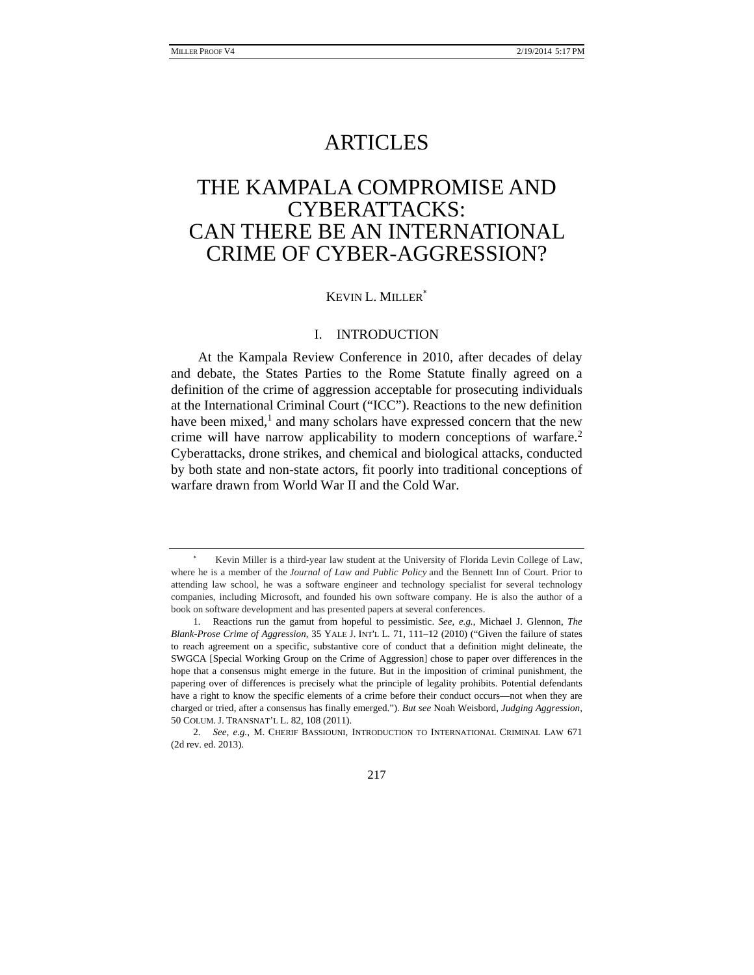## ARTICLES

# THE KAMPALA COMPROMISE AND CYBERATTACKS: CAN THERE BE AN INTERNATIONAL CRIME OF CYBER-AGGRESSION?

#### KEVIN L. MILLER

#### I. INTRODUCTION

At the Kampala Review Conference in 2010, after decades of delay and debate, the States Parties to the Rome Statute finally agreed on a definition of the crime of aggression acceptable for prosecuting individuals at the International Criminal Court ("ICC"). Reactions to the new definition have been mixed,<sup>1</sup> and many scholars have expressed concern that the new crime will have narrow applicability to modern conceptions of warfare.<sup>2</sup> Cyberattacks, drone strikes, and chemical and biological attacks, conducted by both state and non-state actors, fit poorly into traditional conceptions of warfare drawn from World War II and the Cold War.

217

Kevin Miller is a third-year law student at the University of Florida Levin College of Law, where he is a member of the *Journal of Law and Public Policy* and the Bennett Inn of Court. Prior to attending law school, he was a software engineer and technology specialist for several technology companies, including Microsoft, and founded his own software company. He is also the author of a book on software development and has presented papers at several conferences.

 <sup>1.</sup> Reactions run the gamut from hopeful to pessimistic. *See, e.g.*, Michael J. Glennon, *The Blank-Prose Crime of Aggression*, 35 YALE J. INT'L L*.* 71, 111–12 (2010) ("Given the failure of states to reach agreement on a specific, substantive core of conduct that a definition might delineate, the SWGCA [Special Working Group on the Crime of Aggression] chose to paper over differences in the hope that a consensus might emerge in the future. But in the imposition of criminal punishment, the papering over of differences is precisely what the principle of legality prohibits. Potential defendants have a right to know the specific elements of a crime before their conduct occurs—not when they are charged or tried, after a consensus has finally emerged."). *But see* Noah Weisbord, *Judging Aggression*, 50 COLUM. J. TRANSNAT'L L. 82, 108 (2011).

 <sup>2.</sup> *See, e.g.*, M. CHERIF BASSIOUNI, INTRODUCTION TO INTERNATIONAL CRIMINAL LAW 671 (2d rev. ed. 2013).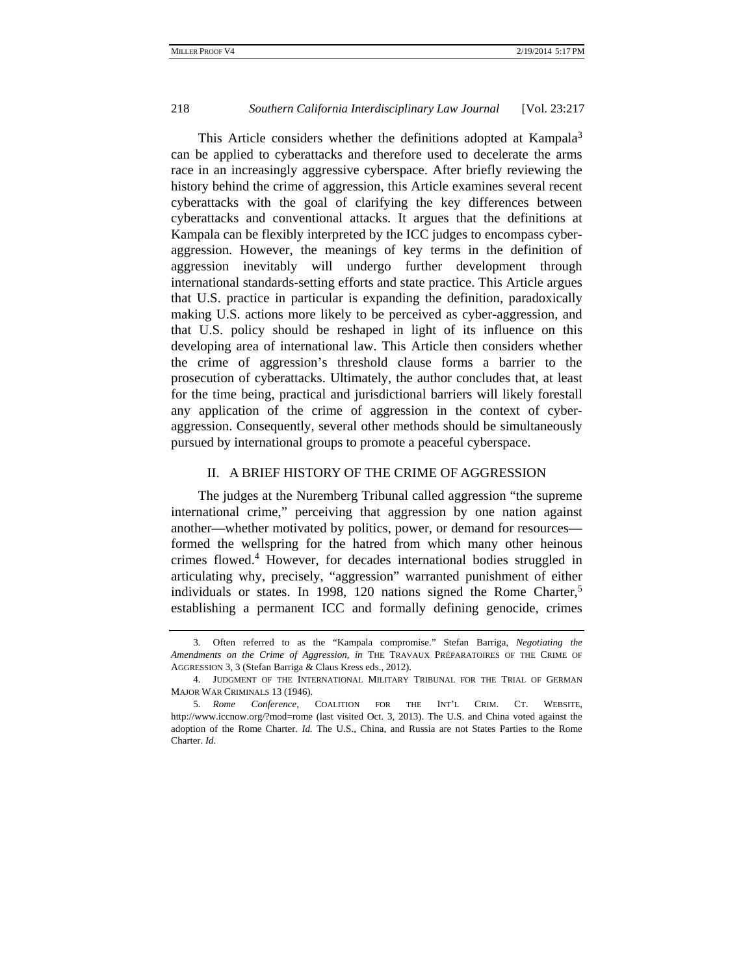This Article considers whether the definitions adopted at Kampala<sup>3</sup> can be applied to cyberattacks and therefore used to decelerate the arms race in an increasingly aggressive cyberspace. After briefly reviewing the history behind the crime of aggression, this Article examines several recent cyberattacks with the goal of clarifying the key differences between cyberattacks and conventional attacks. It argues that the definitions at Kampala can be flexibly interpreted by the ICC judges to encompass cyberaggression. However, the meanings of key terms in the definition of aggression inevitably will undergo further development through international standards-setting efforts and state practice. This Article argues that U.S. practice in particular is expanding the definition, paradoxically making U.S. actions more likely to be perceived as cyber-aggression, and that U.S. policy should be reshaped in light of its influence on this developing area of international law. This Article then considers whether the crime of aggression's threshold clause forms a barrier to the prosecution of cyberattacks. Ultimately, the author concludes that, at least for the time being, practical and jurisdictional barriers will likely forestall any application of the crime of aggression in the context of cyberaggression. Consequently, several other methods should be simultaneously pursued by international groups to promote a peaceful cyberspace.

## II. A BRIEF HISTORY OF THE CRIME OF AGGRESSION

The judges at the Nuremberg Tribunal called aggression "the supreme international crime," perceiving that aggression by one nation against another—whether motivated by politics, power, or demand for resources formed the wellspring for the hatred from which many other heinous crimes flowed.4 However, for decades international bodies struggled in articulating why, precisely, "aggression" warranted punishment of either individuals or states. In 1998, 120 nations signed the Rome Charter,<sup>5</sup> establishing a permanent ICC and formally defining genocide, crimes

 <sup>3.</sup> Often referred to as the "Kampala compromise." Stefan Barriga, *Negotiating the Amendments on the Crime of Aggression, in* THE TRAVAUX PRÉPARATOIRES OF THE CRIME OF AGGRESSION 3, 3 (Stefan Barriga & Claus Kress eds., 2012).

 <sup>4.</sup> JUDGMENT OF THE INTERNATIONAL MILITARY TRIBUNAL FOR THE TRIAL OF GERMAN MAJOR WAR CRIMINALS 13 (1946).

 <sup>5.</sup> *Rome Conference,* COALITION FOR THE INT'L CRIM. CT. WEBSITE, http://www.iccnow.org/?mod=rome (last visited Oct. 3, 2013). The U.S. and China voted against the adoption of the Rome Charter. *Id.* The U.S., China, and Russia are not States Parties to the Rome Charter. *Id.*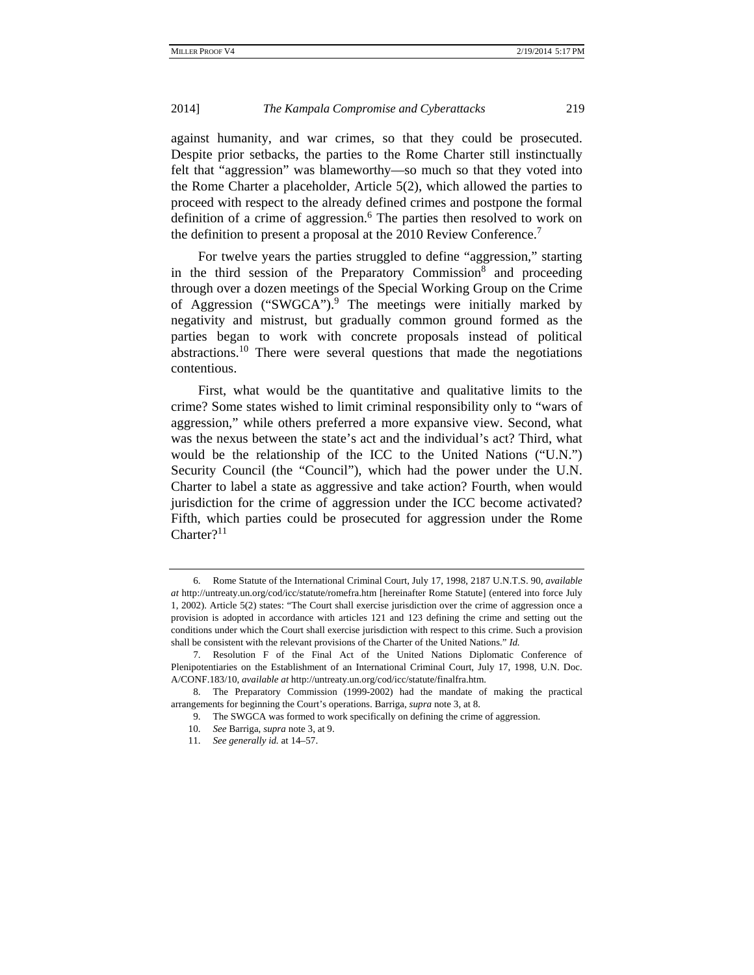against humanity, and war crimes, so that they could be prosecuted. Despite prior setbacks, the parties to the Rome Charter still instinctually felt that "aggression" was blameworthy—so much so that they voted into the Rome Charter a placeholder, Article 5(2), which allowed the parties to proceed with respect to the already defined crimes and postpone the formal definition of a crime of aggression.<sup>6</sup> The parties then resolved to work on the definition to present a proposal at the 2010 Review Conference.<sup>7</sup>

For twelve years the parties struggled to define "aggression," starting in the third session of the Preparatory Commission<sup>8</sup> and proceeding through over a dozen meetings of the Special Working Group on the Crime of Aggression ("SWGCA").<sup>9</sup> The meetings were initially marked by negativity and mistrust, but gradually common ground formed as the parties began to work with concrete proposals instead of political abstractions.10 There were several questions that made the negotiations contentious.

First, what would be the quantitative and qualitative limits to the crime? Some states wished to limit criminal responsibility only to "wars of aggression," while others preferred a more expansive view. Second, what was the nexus between the state's act and the individual's act? Third, what would be the relationship of the ICC to the United Nations ("U.N.") Security Council (the "Council"), which had the power under the U.N. Charter to label a state as aggressive and take action? Fourth, when would jurisdiction for the crime of aggression under the ICC become activated? Fifth, which parties could be prosecuted for aggression under the Rome Charter?<sup>11</sup>

 <sup>6.</sup> Rome Statute of the International Criminal Court, July 17, 1998, 2187 U.N.T.S. 90, *available at* http://untreaty.un.org/cod/icc/statute/romefra.htm [hereinafter Rome Statute] (entered into force July 1, 2002). Article 5(2) states: "The Court shall exercise jurisdiction over the crime of aggression once a provision is adopted in accordance with articles 121 and 123 defining the crime and setting out the conditions under which the Court shall exercise jurisdiction with respect to this crime. Such a provision shall be consistent with the relevant provisions of the Charter of the United Nations." *Id.*

 <sup>7.</sup> Resolution F of the Final Act of the United Nations Diplomatic Conference of Plenipotentiaries on the Establishment of an International Criminal Court, July 17, 1998, U.N. Doc. A/CONF.183/10, *available at* http://untreaty.un.org/cod/icc/statute/finalfra.htm.

 <sup>8.</sup> The Preparatory Commission (1999-2002) had the mandate of making the practical arrangements for beginning the Court's operations. Barriga, *supra* note 3, at 8.

 <sup>9.</sup> The SWGCA was formed to work specifically on defining the crime of aggression.

 <sup>10.</sup> *See* Barriga, *supra* note 3, at 9.

 <sup>11.</sup> *See generally id.* at 14–57.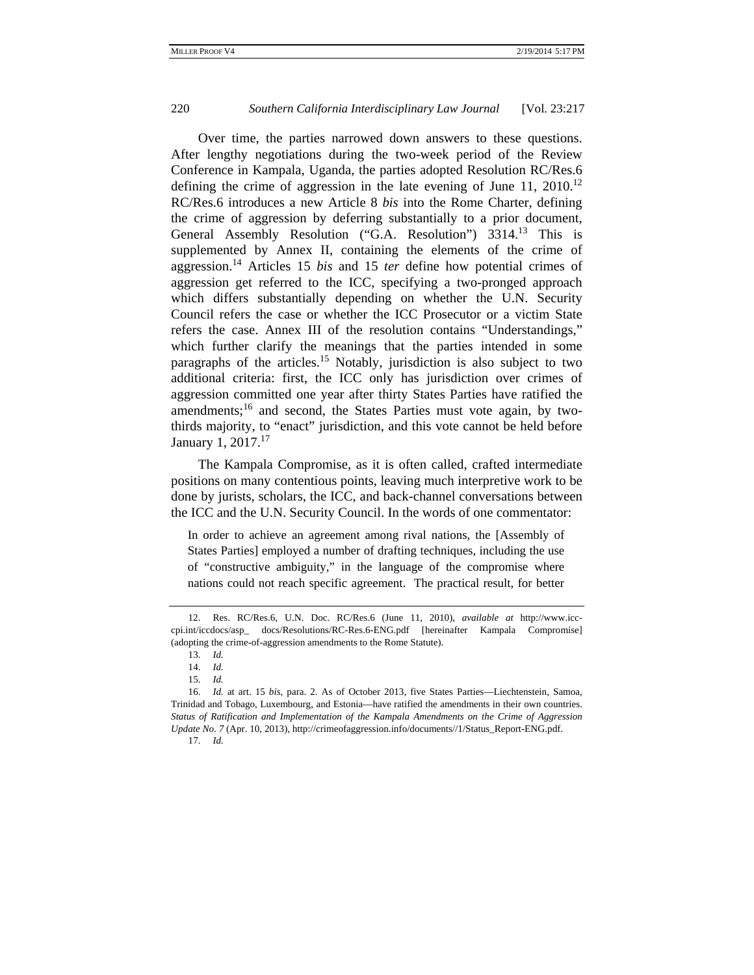Over time, the parties narrowed down answers to these questions. After lengthy negotiations during the two-week period of the Review Conference in Kampala, Uganda, the parties adopted Resolution RC/Res.6 defining the crime of aggression in the late evening of June 11,  $2010^{12}$ RC/Res.6 introduces a new Article 8 *bis* into the Rome Charter, defining the crime of aggression by deferring substantially to a prior document, General Assembly Resolution ("G.A. Resolution") 3314.<sup>13</sup> This is supplemented by Annex II, containing the elements of the crime of aggression.14 Articles 15 *bis* and 15 *ter* define how potential crimes of aggression get referred to the ICC, specifying a two-pronged approach which differs substantially depending on whether the U.N. Security Council refers the case or whether the ICC Prosecutor or a victim State refers the case. Annex III of the resolution contains "Understandings," which further clarify the meanings that the parties intended in some paragraphs of the articles.15 Notably, jurisdiction is also subject to two additional criteria: first, the ICC only has jurisdiction over crimes of aggression committed one year after thirty States Parties have ratified the amendments;<sup>16</sup> and second, the States Parties must vote again, by twothirds majority, to "enact" jurisdiction, and this vote cannot be held before January 1, 2017.<sup>17</sup>

The Kampala Compromise, as it is often called, crafted intermediate positions on many contentious points, leaving much interpretive work to be done by jurists, scholars, the ICC, and back-channel conversations between the ICC and the U.N. Security Council. In the words of one commentator:

In order to achieve an agreement among rival nations, the [Assembly of States Parties] employed a number of drafting techniques, including the use of "constructive ambiguity," in the language of the compromise where nations could not reach specific agreement. The practical result, for better

 <sup>12.</sup> Res. RC/Res.6, U.N. Doc. RC/Res.6 (June 11, 2010), *available at* http://www.icccpi.int/iccdocs/asp\_ docs/Resolutions/RC-Res.6-ENG.pdf [hereinafter Kampala Compromise] (adopting the crime-of-aggression amendments to the Rome Statute).

 <sup>13.</sup> *Id.*

 <sup>14.</sup> *Id.*

 <sup>15.</sup> *Id.*

 <sup>16.</sup> *Id.* at art. 15 *bis*, para. 2. As of October 2013, five States Parties—Liechtenstein, Samoa, Trinidad and Tobago, Luxembourg, and Estonia—have ratified the amendments in their own countries. *Status of Ratification and Implementation of the Kampala Amendments on the Crime of Aggression Update No. 7* (Apr. 10, 2013), http://crimeofaggression.info/documents//1/Status\_Report-ENG.pdf. 17. *Id.*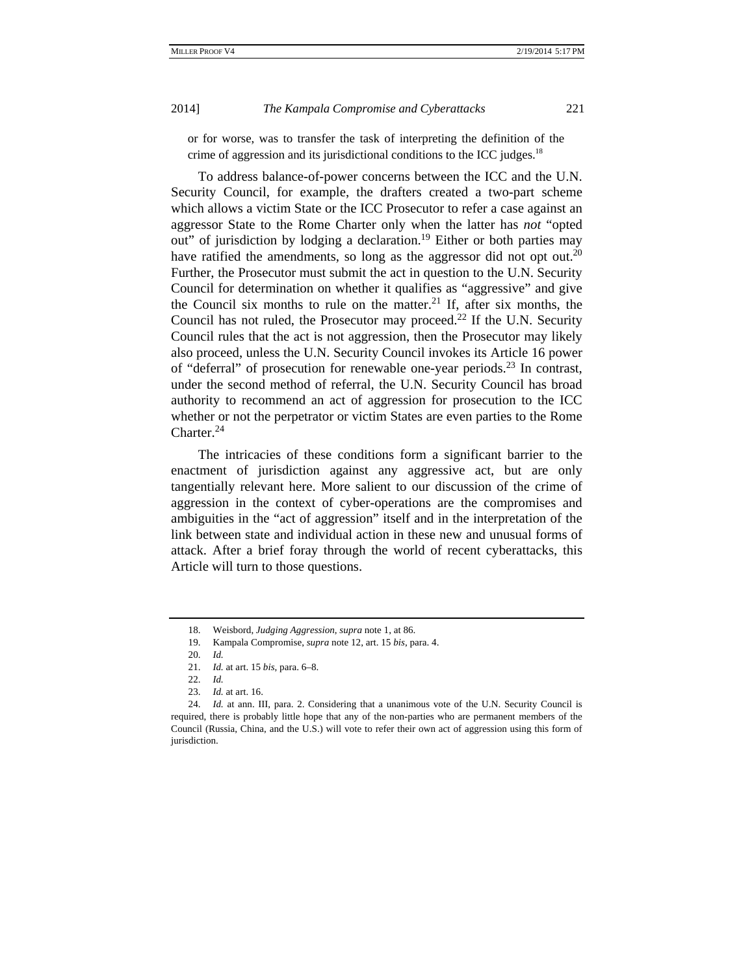or for worse, was to transfer the task of interpreting the definition of the crime of aggression and its jurisdictional conditions to the ICC judges.<sup>18</sup>

To address balance-of-power concerns between the ICC and the U.N. Security Council, for example, the drafters created a two-part scheme which allows a victim State or the ICC Prosecutor to refer a case against an aggressor State to the Rome Charter only when the latter has *not* "opted out" of jurisdiction by lodging a declaration.<sup>19</sup> Either or both parties may have ratified the amendments, so long as the aggressor did not opt out.<sup>20</sup> Further, the Prosecutor must submit the act in question to the U.N. Security Council for determination on whether it qualifies as "aggressive" and give the Council six months to rule on the matter.<sup>21</sup> If, after six months, the Council has not ruled, the Prosecutor may proceed.<sup>22</sup> If the U.N. Security Council rules that the act is not aggression, then the Prosecutor may likely also proceed, unless the U.N. Security Council invokes its Article 16 power of "deferral" of prosecution for renewable one-year periods.<sup>23</sup> In contrast, under the second method of referral, the U.N. Security Council has broad authority to recommend an act of aggression for prosecution to the ICC whether or not the perpetrator or victim States are even parties to the Rome Charter. $24$ 

The intricacies of these conditions form a significant barrier to the enactment of jurisdiction against any aggressive act, but are only tangentially relevant here. More salient to our discussion of the crime of aggression in the context of cyber-operations are the compromises and ambiguities in the "act of aggression" itself and in the interpretation of the link between state and individual action in these new and unusual forms of attack. After a brief foray through the world of recent cyberattacks, this Article will turn to those questions.

 <sup>18.</sup> Weisbord, *Judging Aggression*, *supra* note 1, at 86.

 <sup>19.</sup> Kampala Compromise, *supra* note 12, art. 15 *bis*, para. 4.

 <sup>20.</sup> *Id.*

 <sup>21.</sup> *Id.* at art. 15 *bis*, para. 6–8.

 <sup>22.</sup> *Id.*

 <sup>23.</sup> *Id.* at art. 16.

 <sup>24.</sup> *Id.* at ann. III, para. 2. Considering that a unanimous vote of the U.N. Security Council is required, there is probably little hope that any of the non-parties who are permanent members of the Council (Russia, China, and the U.S.) will vote to refer their own act of aggression using this form of jurisdiction.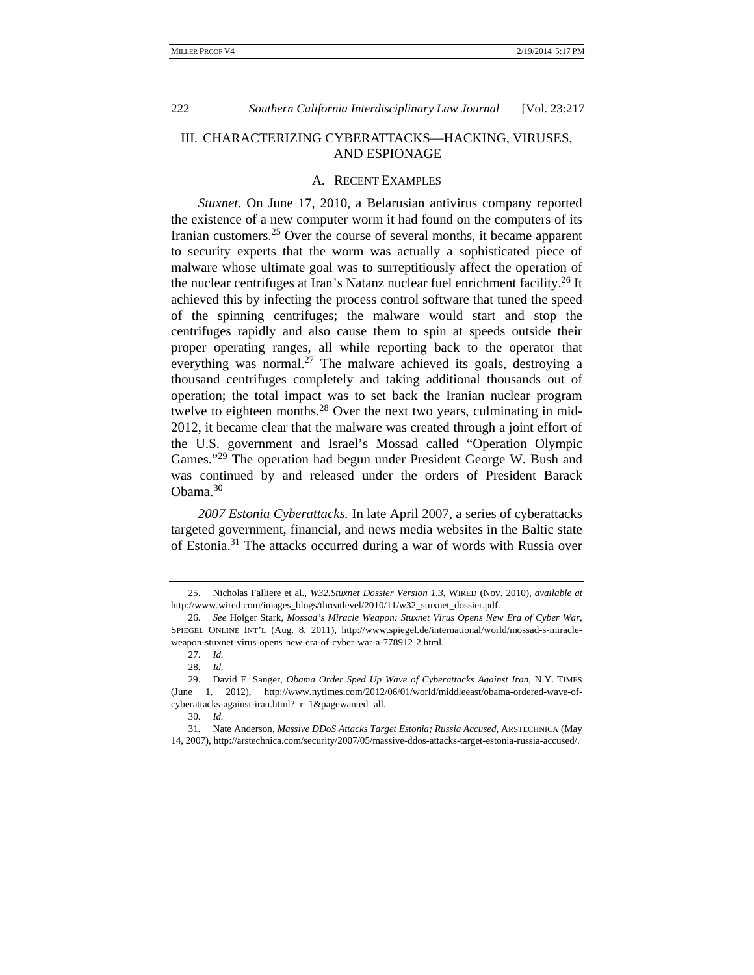## III. CHARACTERIZING CYBERATTACKS—HACKING, VIRUSES, AND ESPIONAGE

#### A. RECENT EXAMPLES

*Stuxnet.* On June 17, 2010, a Belarusian antivirus company reported the existence of a new computer worm it had found on the computers of its Iranian customers.<sup>25</sup> Over the course of several months, it became apparent to security experts that the worm was actually a sophisticated piece of malware whose ultimate goal was to surreptitiously affect the operation of the nuclear centrifuges at Iran's Natanz nuclear fuel enrichment facility.<sup>26</sup> It achieved this by infecting the process control software that tuned the speed of the spinning centrifuges; the malware would start and stop the centrifuges rapidly and also cause them to spin at speeds outside their proper operating ranges, all while reporting back to the operator that everything was normal.<sup>27</sup> The malware achieved its goals, destroying a thousand centrifuges completely and taking additional thousands out of operation; the total impact was to set back the Iranian nuclear program twelve to eighteen months.<sup>28</sup> Over the next two years, culminating in mid-2012, it became clear that the malware was created through a joint effort of the U.S. government and Israel's Mossad called "Operation Olympic Games."<sup>29</sup> The operation had begun under President George W. Bush and was continued by and released under the orders of President Barack Obama.<sup>30</sup>

*2007 Estonia Cyberattacks.* In late April 2007, a series of cyberattacks targeted government, financial, and news media websites in the Baltic state of Estonia.31 The attacks occurred during a war of words with Russia over

 <sup>25.</sup> Nicholas Falliere et al., *W32.Stuxnet Dossier Version 1.3*, WIRED (Nov. 2010), *available at*  http://www.wired.com/images\_blogs/threatlevel/2010/11/w32\_stuxnet\_dossier.pdf.

 <sup>26.</sup> *See* Holger Stark, *Mossad's Miracle Weapon: Stuxnet Virus Opens New Era of Cyber War*, SPIEGEL ONLINE INT'L (Aug. 8, 2011), http://www.spiegel.de/international/world/mossad-s-miracleweapon-stuxnet-virus-opens-new-era-of-cyber-war-a-778912-2.html.

 <sup>27.</sup> *Id.* 

 <sup>28.</sup> *Id.* 

 <sup>29.</sup> David E. Sanger, *Obama Order Sped Up Wave of Cyberattacks Against Iran*, N.Y. TIMES (June 1, 2012), http://www.nytimes.com/2012/06/01/world/middleeast/obama-ordered-wave-ofcyberattacks-against-iran.html?\_r=1&pagewanted=all.

 <sup>30.</sup> *Id.* 

 <sup>31.</sup> Nate Anderson, *Massive DDoS Attacks Target Estonia; Russia Accused*, ARSTECHNICA (May 14, 2007), http://arstechnica.com/security/2007/05/massive-ddos-attacks-target-estonia-russia-accused/.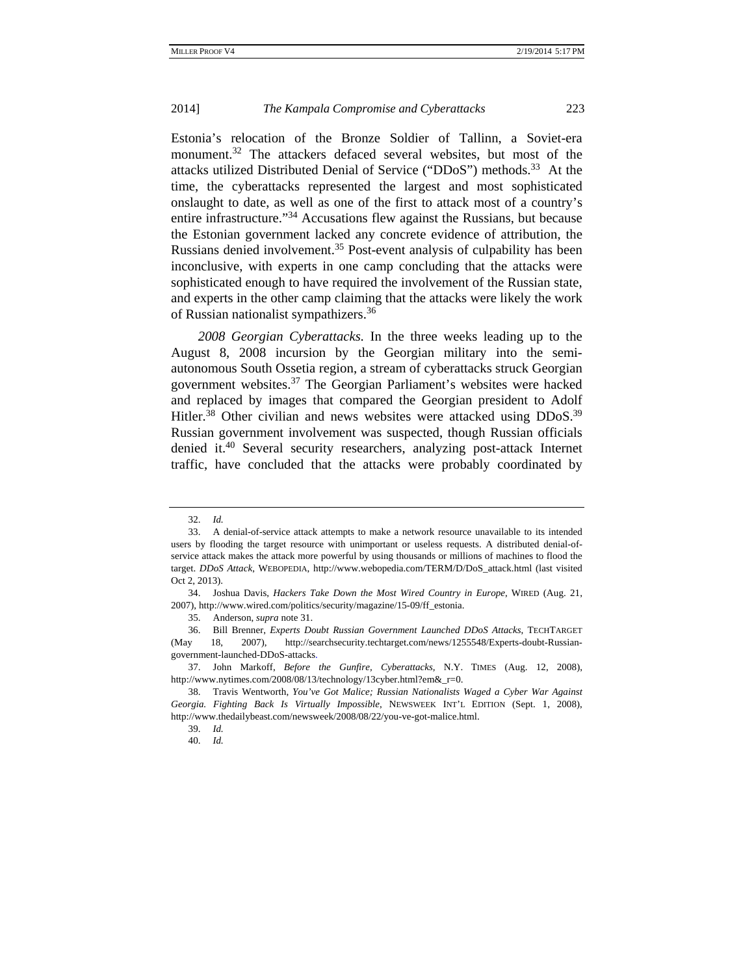Estonia's relocation of the Bronze Soldier of Tallinn, a Soviet-era monument.<sup>32</sup> The attackers defaced several websites, but most of the attacks utilized Distributed Denial of Service ("DDoS") methods.33 At the time, the cyberattacks represented the largest and most sophisticated onslaught to date, as well as one of the first to attack most of a country's entire infrastructure."34 Accusations flew against the Russians, but because the Estonian government lacked any concrete evidence of attribution, the Russians denied involvement.<sup>35</sup> Post-event analysis of culpability has been inconclusive, with experts in one camp concluding that the attacks were sophisticated enough to have required the involvement of the Russian state, and experts in the other camp claiming that the attacks were likely the work of Russian nationalist sympathizers.<sup>36</sup>

*2008 Georgian Cyberattacks.* In the three weeks leading up to the August 8, 2008 incursion by the Georgian military into the semiautonomous South Ossetia region, a stream of cyberattacks struck Georgian government websites.37 The Georgian Parliament's websites were hacked and replaced by images that compared the Georgian president to Adolf Hitler.<sup>38</sup> Other civilian and news websites were attacked using  $DDoS$ .<sup>39</sup> Russian government involvement was suspected, though Russian officials denied it.40 Several security researchers, analyzing post-attack Internet traffic, have concluded that the attacks were probably coordinated by

 <sup>32.</sup> *Id.* 

 <sup>33.</sup> A denial-of-service attack attempts to make a network resource unavailable to its intended users by flooding the target resource with unimportant or useless requests. A distributed denial-ofservice attack makes the attack more powerful by using thousands or millions of machines to flood the target. *DDoS Attack*, WEBOPEDIA, http://www.webopedia.com/TERM/D/DoS\_attack.html (last visited Oct 2, 2013).

 <sup>34.</sup> Joshua Davis, *Hackers Take Down the Most Wired Country in Europe*, WIRED (Aug. 21, 2007), http://www.wired.com/politics/security/magazine/15-09/ff\_estonia.

 <sup>35.</sup> Anderson, *supra* note 31.

 <sup>36.</sup> Bill Brenner, *Experts Doubt Russian Government Launched DDoS Attacks*, TECHTARGET (May 18, 2007), http://searchsecurity.techtarget.com/news/1255548/Experts-doubt-Russiangovernment-launched-DDoS-attacks.

 <sup>37.</sup> John Markoff, *Before the Gunfire, Cyberattacks,* N.Y. TIMES (Aug. 12, 2008), http://www.nytimes.com/2008/08/13/technology/13cyber.html?em&r=0.

 <sup>38.</sup> Travis Wentworth, *You've Got Malice; Russian Nationalists Waged a Cyber War Against Georgia. Fighting Back Is Virtually Impossible*, NEWSWEEK INT'L EDITION (Sept. 1, 2008), http://www.thedailybeast.com/newsweek/2008/08/22/you-ve-got-malice.html.

 <sup>39.</sup> *Id.* 

 <sup>40.</sup> *Id.*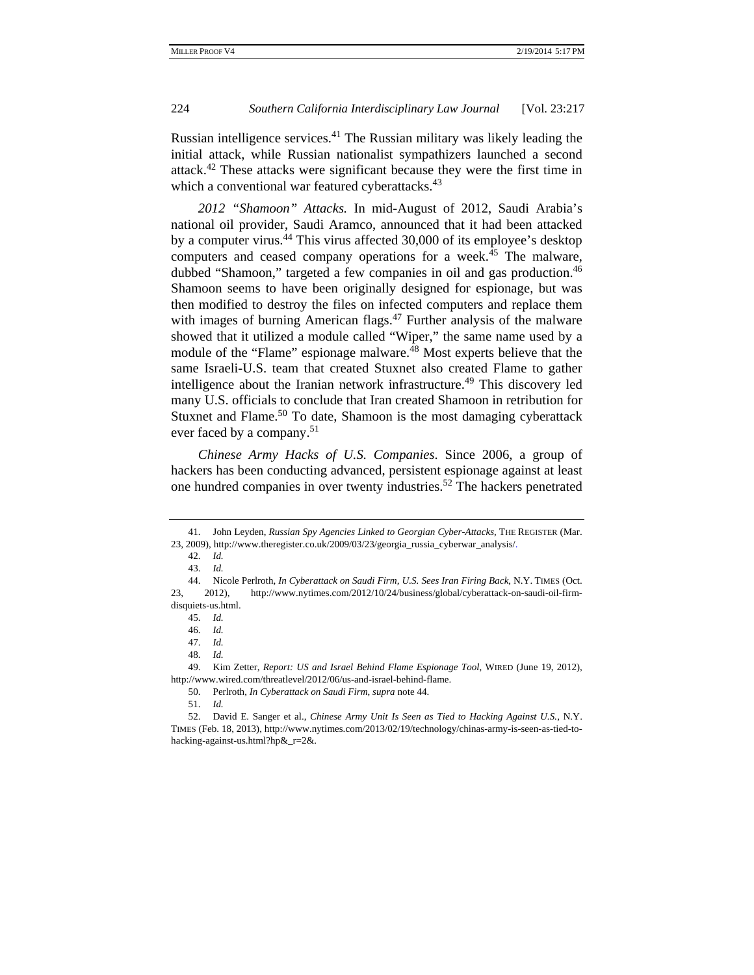Russian intelligence services. $41$  The Russian military was likely leading the initial attack, while Russian nationalist sympathizers launched a second attack.42 These attacks were significant because they were the first time in which a conventional war featured cyberattacks.<sup>43</sup>

*2012 "Shamoon" Attacks.* In mid-August of 2012, Saudi Arabia's national oil provider, Saudi Aramco, announced that it had been attacked by a computer virus.44 This virus affected 30,000 of its employee's desktop computers and ceased company operations for a week.<sup>45</sup> The malware, dubbed "Shamoon," targeted a few companies in oil and gas production.<sup>46</sup> Shamoon seems to have been originally designed for espionage, but was then modified to destroy the files on infected computers and replace them with images of burning American flags.<sup>47</sup> Further analysis of the malware showed that it utilized a module called "Wiper," the same name used by a module of the "Flame" espionage malware.<sup>48</sup> Most experts believe that the same Israeli-U.S. team that created Stuxnet also created Flame to gather intelligence about the Iranian network infrastructure.<sup>49</sup> This discovery led many U.S. officials to conclude that Iran created Shamoon in retribution for Stuxnet and Flame.<sup>50</sup> To date, Shamoon is the most damaging cyberattack ever faced by a company.<sup>51</sup>

*Chinese Army Hacks of U.S. Companies*. Since 2006, a group of hackers has been conducting advanced, persistent espionage against at least one hundred companies in over twenty industries.<sup>52</sup> The hackers penetrated

 49. Kim Zetter, *Report: US and Israel Behind Flame Espionage Tool*, WIRED (June 19, 2012), http://www.wired.com/threatlevel/2012/06/us-and-israel-behind-flame.

50. Perlroth, *In Cyberattack on Saudi Firm*, *supra* note 44.

<sup>41.</sup> John Leyden, *Russian Spy Agencies Linked to Georgian Cyber-Attacks*, THE REGISTER (Mar. 23, 2009), http://www.theregister.co.uk/2009/03/23/georgia\_russia\_cyberwar\_analysis/.

 <sup>42.</sup> *Id.* 

 <sup>43.</sup> *Id.* 

 <sup>44.</sup> Nicole Perlroth, *In Cyberattack on Saudi Firm, U.S. Sees Iran Firing Back*, N.Y. TIMES (Oct. 23, 2012), http://www.nytimes.com/2012/10/24/business/global/cyberattack-on-saudi-oil-firmdisquiets-us.html.

 <sup>45.</sup> *Id.*

 <sup>46.</sup> *Id.* 

 <sup>47.</sup> *Id.* 

 <sup>48.</sup> *Id.* 

 <sup>51.</sup> *Id.*

 <sup>52.</sup> David E. Sanger et al., *Chinese Army Unit Is Seen as Tied to Hacking Against U.S.*, N.Y. TIMES (Feb. 18, 2013), http://www.nytimes.com/2013/02/19/technology/chinas-army-is-seen-as-tied-tohacking-against-us.html?hp&\_r=2&.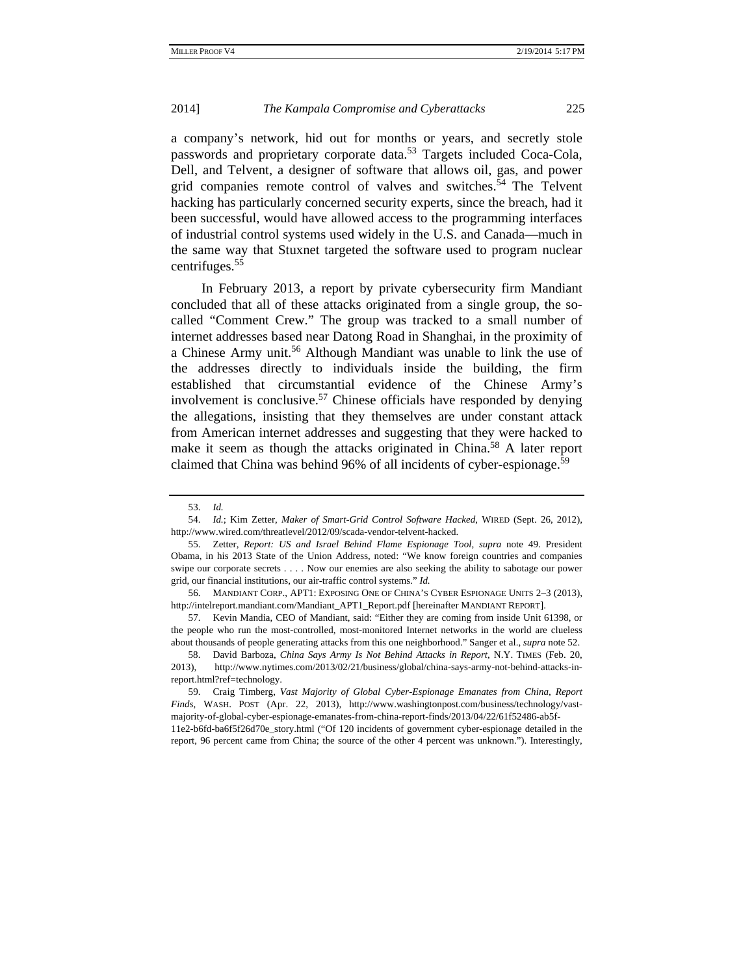a company's network, hid out for months or years, and secretly stole passwords and proprietary corporate data.<sup>53</sup> Targets included Coca-Cola, Dell, and Telvent, a designer of software that allows oil, gas, and power grid companies remote control of valves and switches.<sup>54</sup> The Telvent hacking has particularly concerned security experts, since the breach, had it been successful, would have allowed access to the programming interfaces of industrial control systems used widely in the U.S. and Canada—much in the same way that Stuxnet targeted the software used to program nuclear centrifuges.<sup>55</sup>

 In February 2013, a report by private cybersecurity firm Mandiant concluded that all of these attacks originated from a single group, the socalled "Comment Crew." The group was tracked to a small number of internet addresses based near Datong Road in Shanghai, in the proximity of a Chinese Army unit.<sup>56</sup> Although Mandiant was unable to link the use of the addresses directly to individuals inside the building, the firm established that circumstantial evidence of the Chinese Army's involvement is conclusive.<sup>57</sup> Chinese officials have responded by denying the allegations, insisting that they themselves are under constant attack from American internet addresses and suggesting that they were hacked to make it seem as though the attacks originated in China.<sup>58</sup> A later report claimed that China was behind 96% of all incidents of cyber-espionage.<sup>59</sup>

 <sup>53.</sup> *Id.*

 <sup>54.</sup> *Id.*; Kim Zetter, *Maker of Smart-Grid Control Software Hacked*, WIRED (Sept. 26, 2012), http://www.wired.com/threatlevel/2012/09/scada-vendor-telvent-hacked.

 <sup>55.</sup> Zetter, *Report: US and Israel Behind Flame Espionage Tool*, *supra* note 49. President Obama, in his 2013 State of the Union Address, noted: "We know foreign countries and companies swipe our corporate secrets . . . . Now our enemies are also seeking the ability to sabotage our power grid, our financial institutions, our air-traffic control systems." *Id.*

 <sup>56.</sup> MANDIANT CORP., APT1: EXPOSING ONE OF CHINA'S CYBER ESPIONAGE UNITS 2–3 (2013), http://intelreport.mandiant.com/Mandiant\_APT1\_Report.pdf [hereinafter MANDIANT REPORT].

 <sup>57.</sup> Kevin Mandia, CEO of Mandiant, said: "Either they are coming from inside Unit 61398, or the people who run the most-controlled, most-monitored Internet networks in the world are clueless about thousands of people generating attacks from this one neighborhood." Sanger et al., *supra* note 52.

 <sup>58.</sup> David Barboza, *China Says Army Is Not Behind Attacks in Report*, N.Y. TIMES (Feb. 20, 2013), http://www.nytimes.com/2013/02/21/business/global/china-says-army-not-behind-attacks-inreport.html?ref=technology.

 <sup>59.</sup> Craig Timberg, *Vast Majority of Global Cyber-Espionage Emanates from China, Report Finds*, WASH. POST (Apr. 22, 2013), http://www.washingtonpost.com/business/technology/vastmajority-of-global-cyber-espionage-emanates-from-china-report-finds/2013/04/22/61f52486-ab5f-

<sup>11</sup>e2-b6fd-ba6f5f26d70e\_story.html ("Of 120 incidents of government cyber-espionage detailed in the report, 96 percent came from China; the source of the other 4 percent was unknown."). Interestingly,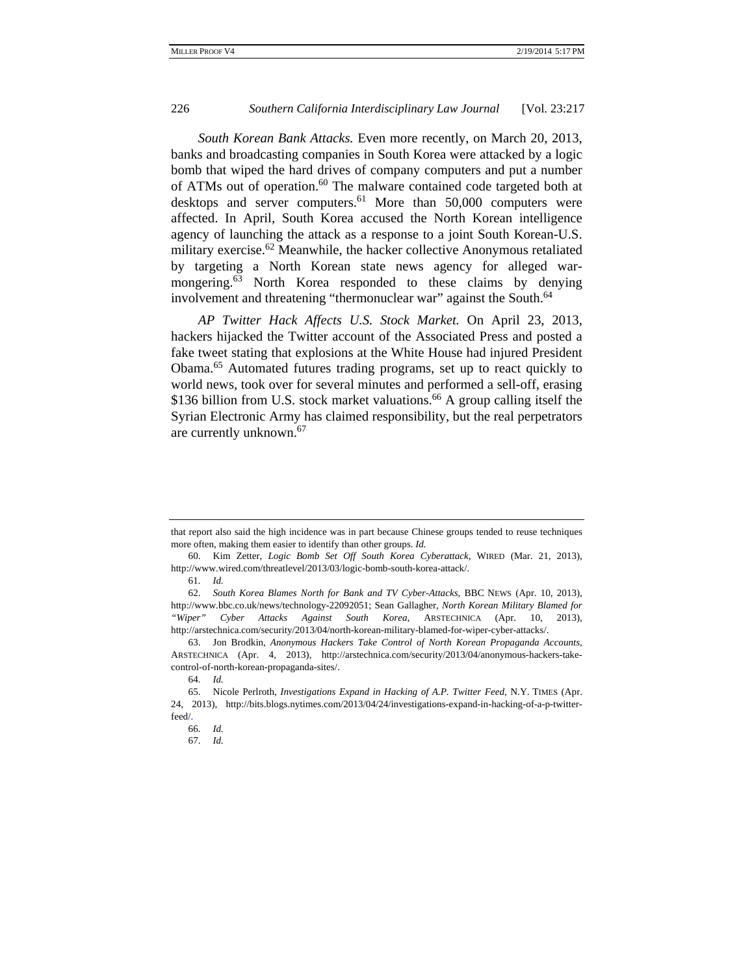*South Korean Bank Attacks.* Even more recently, on March 20, 2013, banks and broadcasting companies in South Korea were attacked by a logic bomb that wiped the hard drives of company computers and put a number of ATMs out of operation.<sup>60</sup> The malware contained code targeted both at desktops and server computers.<sup>61</sup> More than 50,000 computers were affected. In April, South Korea accused the North Korean intelligence agency of launching the attack as a response to a joint South Korean-U.S. military exercise.<sup>62</sup> Meanwhile, the hacker collective Anonymous retaliated by targeting a North Korean state news agency for alleged warmongering.<sup>63</sup> North Korea responded to these claims by denying involvement and threatening "thermonuclear war" against the South.<sup>64</sup>

*AP Twitter Hack Affects U.S. Stock Market.* On April 23, 2013, hackers hijacked the Twitter account of the Associated Press and posted a fake tweet stating that explosions at the White House had injured President Obama.65 Automated futures trading programs, set up to react quickly to world news, took over for several minutes and performed a sell-off, erasing \$136 billion from U.S. stock market valuations.<sup>66</sup> A group calling itself the Syrian Electronic Army has claimed responsibility, but the real perpetrators are currently unknown.67

that report also said the high incidence was in part because Chinese groups tended to reuse techniques more often, making them easier to identify than other groups. *Id.* 

 <sup>60.</sup> Kim Zetter, *Logic Bomb Set Off South Korea Cyberattack*, WIRED (Mar. 21, 2013), http://www.wired.com/threatlevel/2013/03/logic-bomb-south-korea-attack/.

 <sup>61.</sup> *Id.*

 <sup>62.</sup> *South Korea Blames North for Bank and TV Cyber-Attacks*, BBC NEWS (Apr. 10, 2013), http://www.bbc.co.uk/news/technology-22092051; Sean Gallagher, *North Korean Military Blamed for "Wiper" Cyber Attacks Against South Korea*, ARSTECHNICA (Apr. 10, 2013), http://arstechnica.com/security/2013/04/north-korean-military-blamed-for-wiper-cyber-attacks/.

 <sup>63.</sup> Jon Brodkin, *Anonymous Hackers Take Control of North Korean Propaganda Accounts*, ARSTECHNICA (Apr. 4, 2013), http://arstechnica.com/security/2013/04/anonymous-hackers-takecontrol-of-north-korean-propaganda-sites/.

 <sup>64.</sup> *Id.* 

 <sup>65.</sup> Nicole Perlroth, *Investigations Expand in Hacking of A.P. Twitter Feed*, N.Y. TIMES (Apr. 24, 2013), http://bits.blogs.nytimes.com/2013/04/24/investigations-expand-in-hacking-of-a-p-twitterfeed/.

 <sup>66.</sup> *Id.* 

 <sup>67.</sup> *Id.*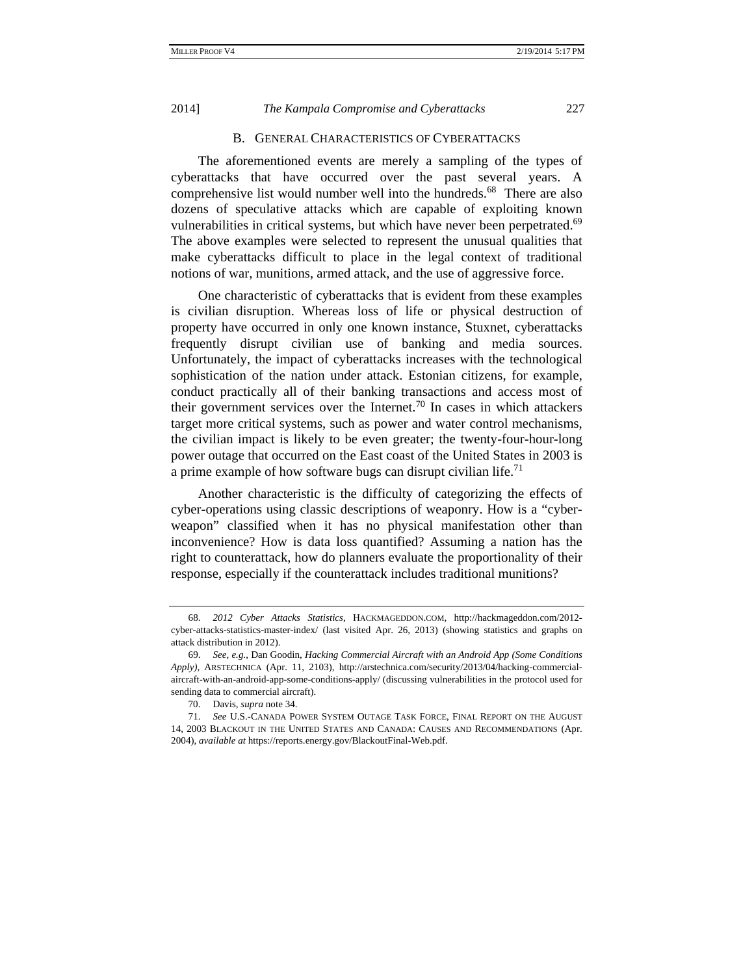#### B. GENERAL CHARACTERISTICS OF CYBERATTACKS

The aforementioned events are merely a sampling of the types of cyberattacks that have occurred over the past several years. A comprehensive list would number well into the hundreds.<sup>68</sup> There are also dozens of speculative attacks which are capable of exploiting known vulnerabilities in critical systems, but which have never been perpetrated.<sup>69</sup> The above examples were selected to represent the unusual qualities that make cyberattacks difficult to place in the legal context of traditional notions of war, munitions, armed attack, and the use of aggressive force.

One characteristic of cyberattacks that is evident from these examples is civilian disruption. Whereas loss of life or physical destruction of property have occurred in only one known instance, Stuxnet, cyberattacks frequently disrupt civilian use of banking and media sources. Unfortunately, the impact of cyberattacks increases with the technological sophistication of the nation under attack. Estonian citizens, for example, conduct practically all of their banking transactions and access most of their government services over the Internet.<sup>70</sup> In cases in which attackers target more critical systems, such as power and water control mechanisms, the civilian impact is likely to be even greater; the twenty-four-hour-long power outage that occurred on the East coast of the United States in 2003 is a prime example of how software bugs can disrupt civilian life.<sup>71</sup>

Another characteristic is the difficulty of categorizing the effects of cyber-operations using classic descriptions of weaponry. How is a "cyberweapon" classified when it has no physical manifestation other than inconvenience? How is data loss quantified? Assuming a nation has the right to counterattack, how do planners evaluate the proportionality of their response, especially if the counterattack includes traditional munitions?

 <sup>68.</sup> *2012 Cyber Attacks Statistics*, HACKMAGEDDON.COM, http://hackmageddon.com/2012 cyber-attacks-statistics-master-index/ (last visited Apr. 26, 2013) (showing statistics and graphs on attack distribution in 2012).

 <sup>69.</sup> *See, e.g.*, Dan Goodin, *Hacking Commercial Aircraft with an Android App (Some Conditions Apply)*, ARSTECHNICA (Apr. 11, 2103), http://arstechnica.com/security/2013/04/hacking-commercialaircraft-with-an-android-app-some-conditions-apply/ (discussing vulnerabilities in the protocol used for sending data to commercial aircraft).

 <sup>70.</sup> Davis, *supra* note 34.

 <sup>71.</sup> *See* U.S.-CANADA POWER SYSTEM OUTAGE TASK FORCE, FINAL REPORT ON THE AUGUST 14, 2003 BLACKOUT IN THE UNITED STATES AND CANADA: CAUSES AND RECOMMENDATIONS (Apr. 2004), *available at* https://reports.energy.gov/BlackoutFinal-Web.pdf.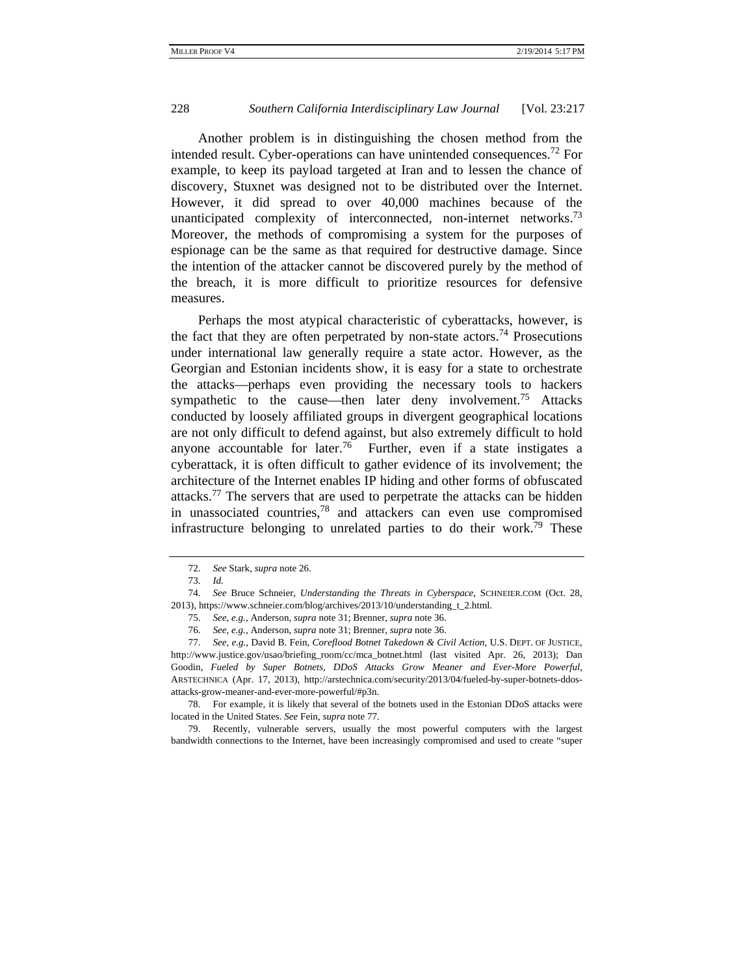Another problem is in distinguishing the chosen method from the intended result. Cyber-operations can have unintended consequences.<sup>72</sup> For example, to keep its payload targeted at Iran and to lessen the chance of discovery, Stuxnet was designed not to be distributed over the Internet. However, it did spread to over 40,000 machines because of the unanticipated complexity of interconnected, non-internet networks.<sup>73</sup> Moreover, the methods of compromising a system for the purposes of espionage can be the same as that required for destructive damage. Since the intention of the attacker cannot be discovered purely by the method of the breach, it is more difficult to prioritize resources for defensive measures.

Perhaps the most atypical characteristic of cyberattacks, however, is the fact that they are often perpetrated by non-state actors.<sup>74</sup> Prosecutions under international law generally require a state actor. However, as the Georgian and Estonian incidents show, it is easy for a state to orchestrate the attacks—perhaps even providing the necessary tools to hackers sympathetic to the cause—then later deny involvement.<sup>75</sup> Attacks conducted by loosely affiliated groups in divergent geographical locations are not only difficult to defend against, but also extremely difficult to hold anyone accountable for later.<sup>76</sup> Further, even if a state instigates a cyberattack, it is often difficult to gather evidence of its involvement; the architecture of the Internet enables IP hiding and other forms of obfuscated attacks.<sup>77</sup> The servers that are used to perpetrate the attacks can be hidden in unassociated countries, $78$  and attackers can even use compromised infrastructure belonging to unrelated parties to do their work.<sup>79</sup> These

 78. For example, it is likely that several of the botnets used in the Estonian DDoS attacks were located in the United States. *See* Fein, *supra* note 77.

 79. Recently, vulnerable servers, usually the most powerful computers with the largest bandwidth connections to the Internet, have been increasingly compromised and used to create "super

 <sup>72.</sup> *See* Stark, *supra* note 26.

 <sup>73.</sup> *Id.*

 <sup>74.</sup> *See* Bruce Schneier, *Understanding the Threats in Cyberspace*, SCHNEIER.COM (Oct. 28, 2013), https://www.schneier.com/blog/archives/2013/10/understanding\_t\_2.html.

 <sup>75.</sup> *See, e.g.*, Anderson, *supra* note 31; Brenner, *supra* note 36.

 <sup>76.</sup> *See, e.g.*, Anderson, *supra* note 31; Brenner, *supra* note 36.

 <sup>77.</sup> *See, e.g.*, David B. Fein, *Coreflood Botnet Takedown & Civil Action*, U.S. DEPT. OF JUSTICE, http://www.justice.gov/usao/briefing\_room/cc/mca\_botnet.html (last visited Apr. 26, 2013); Dan Goodin, *Fueled by Super Botnets, DDoS Attacks Grow Meaner and Ever-More Powerful*, ARSTECHNICA (Apr. 17, 2013), http://arstechnica.com/security/2013/04/fueled-by-super-botnets-ddosattacks-grow-meaner-and-ever-more-powerful/#p3n.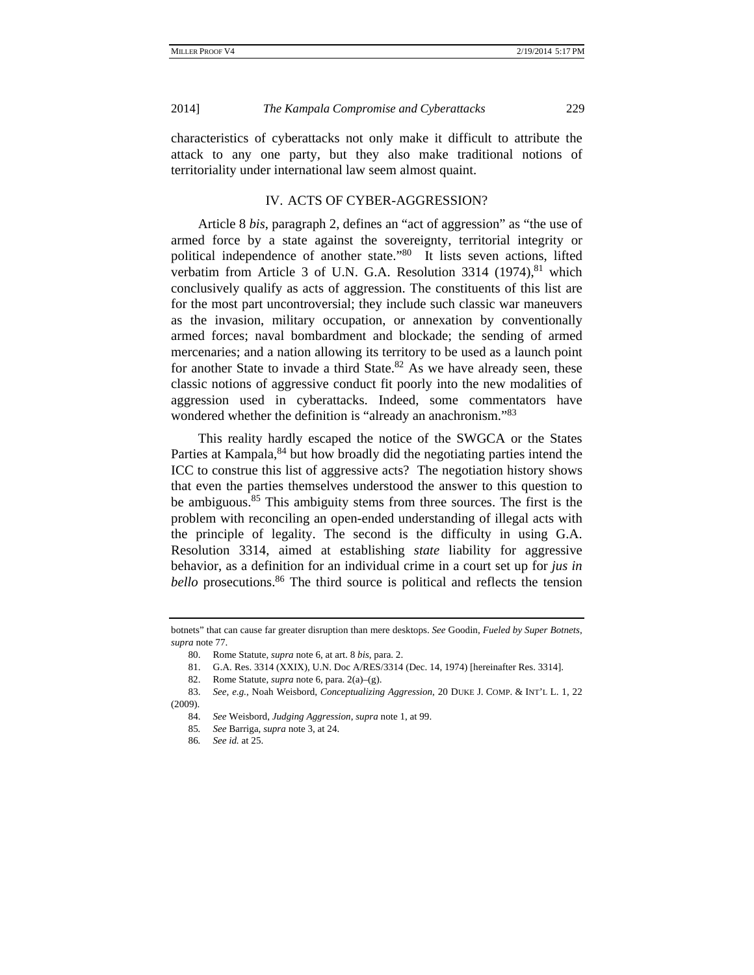characteristics of cyberattacks not only make it difficult to attribute the attack to any one party, but they also make traditional notions of territoriality under international law seem almost quaint.

## IV. ACTS OF CYBER-AGGRESSION?

Article 8 *bis*, paragraph 2, defines an "act of aggression" as "the use of armed force by a state against the sovereignty, territorial integrity or political independence of another state."80 It lists seven actions, lifted verbatim from Article 3 of U.N. G.A. Resolution  $3314$  (1974),  $81$  which conclusively qualify as acts of aggression. The constituents of this list are for the most part uncontroversial; they include such classic war maneuvers as the invasion, military occupation, or annexation by conventionally armed forces; naval bombardment and blockade; the sending of armed mercenaries; and a nation allowing its territory to be used as a launch point for another State to invade a third State. $82$  As we have already seen, these classic notions of aggressive conduct fit poorly into the new modalities of aggression used in cyberattacks. Indeed, some commentators have wondered whether the definition is "already an anachronism."<sup>83</sup>

This reality hardly escaped the notice of the SWGCA or the States Parties at Kampala,<sup>84</sup> but how broadly did the negotiating parties intend the ICC to construe this list of aggressive acts? The negotiation history shows that even the parties themselves understood the answer to this question to be ambiguous.<sup>85</sup> This ambiguity stems from three sources. The first is the problem with reconciling an open-ended understanding of illegal acts with the principle of legality. The second is the difficulty in using G.A. Resolution 3314, aimed at establishing *state* liability for aggressive behavior, as a definition for an individual crime in a court set up for *jus in bello* prosecutions.<sup>86</sup> The third source is political and reflects the tension

- 81. G.A. Res. 3314 (XXIX), U.N. Doc A/RES/3314 (Dec. 14, 1974) [hereinafter Res. 3314].
- 82. Rome Statute, *supra* note 6, para. 2(a)–(g).
- 83. *See, e.g.*, Noah Weisbord, *Conceptualizing Aggression*, 20 DUKE J. COMP. & INT'L L. 1, 22 (2009).
	- 84. *See* Weisbord, *Judging Aggression*, *supra* note 1, at 99.
	- 85*. See* Barriga, *supra* note 3, at 24.
	- 86*. See id.* at 25.

botnets" that can cause far greater disruption than mere desktops. *See* Goodin, *Fueled by Super Botnets*, *supra* note 77.

 <sup>80.</sup> Rome Statute, *supra* note 6, at art. 8 *bis*, para. 2.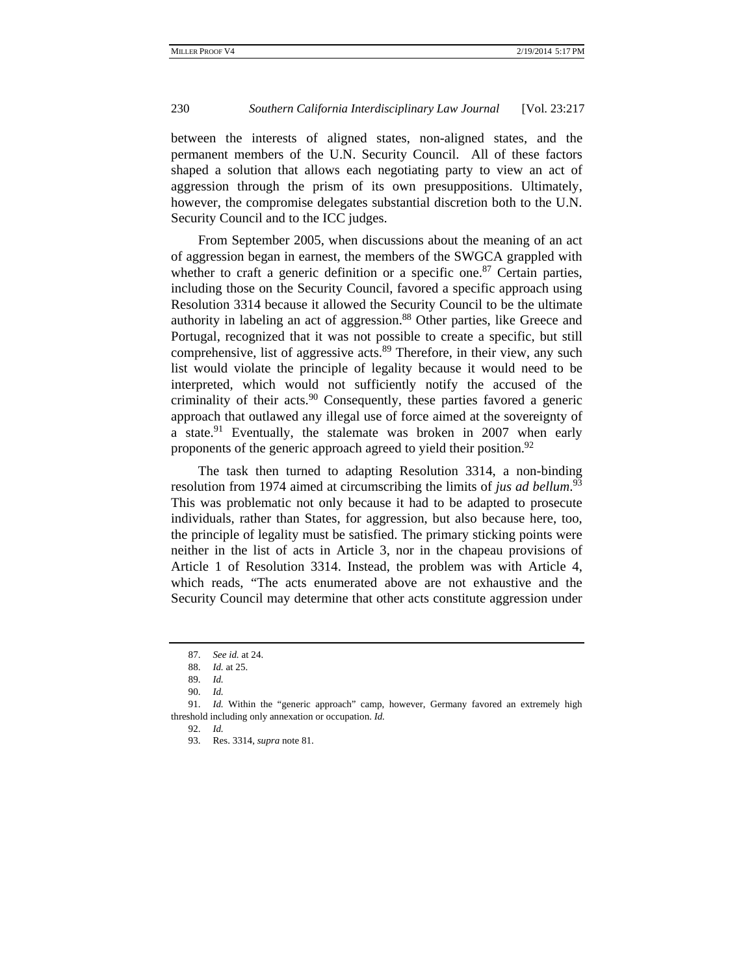between the interests of aligned states, non-aligned states, and the permanent members of the U.N. Security Council. All of these factors shaped a solution that allows each negotiating party to view an act of aggression through the prism of its own presuppositions. Ultimately, however, the compromise delegates substantial discretion both to the U.N. Security Council and to the ICC judges.

From September 2005, when discussions about the meaning of an act of aggression began in earnest, the members of the SWGCA grappled with whether to craft a generic definition or a specific one.<sup>87</sup> Certain parties, including those on the Security Council, favored a specific approach using Resolution 3314 because it allowed the Security Council to be the ultimate authority in labeling an act of aggression.<sup>88</sup> Other parties, like Greece and Portugal, recognized that it was not possible to create a specific, but still comprehensive, list of aggressive acts.<sup>89</sup> Therefore, in their view, any such list would violate the principle of legality because it would need to be interpreted, which would not sufficiently notify the accused of the criminality of their acts.<sup>90</sup> Consequently, these parties favored a generic approach that outlawed any illegal use of force aimed at the sovereignty of a state.<sup>91</sup> Eventually, the stalemate was broken in 2007 when early proponents of the generic approach agreed to yield their position.<sup>92</sup>

The task then turned to adapting Resolution 3314, a non-binding resolution from 1974 aimed at circumscribing the limits of *jus ad bellum*. 93 This was problematic not only because it had to be adapted to prosecute individuals, rather than States, for aggression, but also because here, too, the principle of legality must be satisfied. The primary sticking points were neither in the list of acts in Article 3, nor in the chapeau provisions of Article 1 of Resolution 3314. Instead, the problem was with Article 4, which reads, "The acts enumerated above are not exhaustive and the Security Council may determine that other acts constitute aggression under

 <sup>87.</sup> *See id.* at 24.

 <sup>88.</sup> *Id.* at 25.

 <sup>89.</sup> *Id.*

 <sup>90.</sup> *Id.* 

 <sup>91.</sup> *Id.* Within the "generic approach" camp, however, Germany favored an extremely high threshold including only annexation or occupation. *Id.* 

 <sup>92.</sup> *Id.*

 <sup>93.</sup> Res. 3314, *supra* note 81.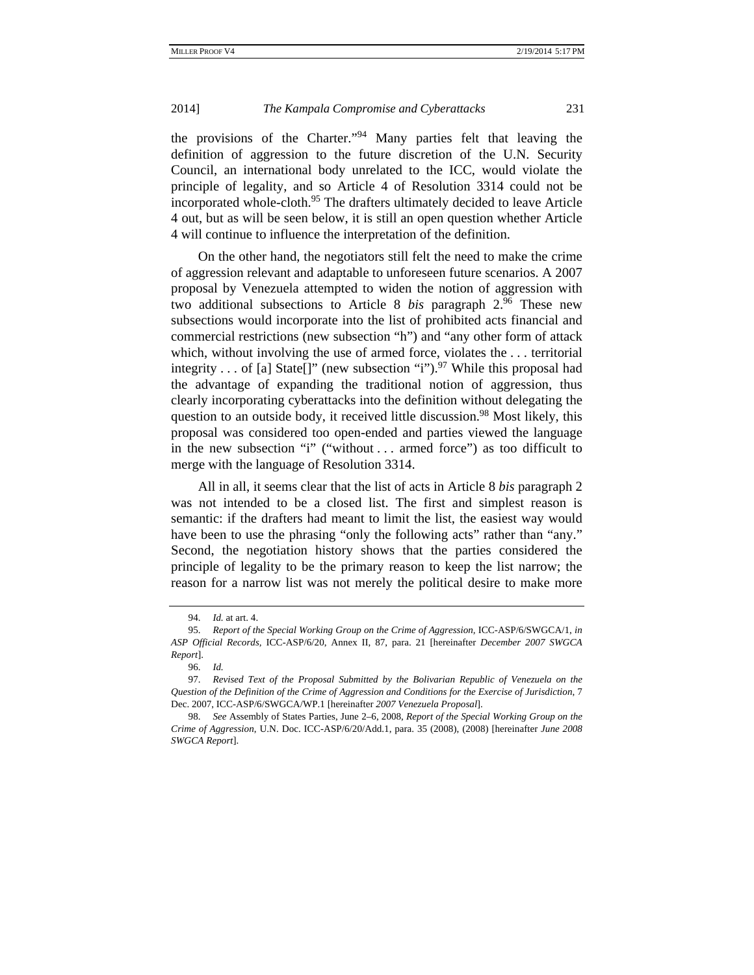the provisions of the Charter."94 Many parties felt that leaving the definition of aggression to the future discretion of the U.N. Security Council, an international body unrelated to the ICC, would violate the principle of legality, and so Article 4 of Resolution 3314 could not be incorporated whole-cloth.<sup>95</sup> The drafters ultimately decided to leave Article 4 out, but as will be seen below, it is still an open question whether Article 4 will continue to influence the interpretation of the definition.

On the other hand, the negotiators still felt the need to make the crime of aggression relevant and adaptable to unforeseen future scenarios. A 2007 proposal by Venezuela attempted to widen the notion of aggression with two additional subsections to Article 8 *bis* paragraph 2.96 These new subsections would incorporate into the list of prohibited acts financial and commercial restrictions (new subsection "h") and "any other form of attack which, without involving the use of armed force, violates the . . . territorial integrity . . . of [a] State[]" (new subsection "i").<sup>97</sup> While this proposal had the advantage of expanding the traditional notion of aggression, thus clearly incorporating cyberattacks into the definition without delegating the question to an outside body, it received little discussion.<sup>98</sup> Most likely, this proposal was considered too open-ended and parties viewed the language in the new subsection "i" ("without . . . armed force") as too difficult to merge with the language of Resolution 3314.

All in all, it seems clear that the list of acts in Article 8 *bis* paragraph 2 was not intended to be a closed list. The first and simplest reason is semantic: if the drafters had meant to limit the list, the easiest way would have been to use the phrasing "only the following acts" rather than "any." Second, the negotiation history shows that the parties considered the principle of legality to be the primary reason to keep the list narrow; the reason for a narrow list was not merely the political desire to make more

 <sup>94.</sup> *Id.* at art. 4.

 <sup>95.</sup> *Report of the Special Working Group on the Crime of Aggression,* ICC-ASP/6/SWGCA/1, *in ASP Official Records,* ICC-ASP/6/20, Annex II, 87, para. 21 [hereinafter *December 2007 SWGCA Report*].

 <sup>96.</sup> *Id.*

 <sup>97.</sup> *Revised Text of the Proposal Submitted by the Bolivarian Republic of Venezuela on the Question of the Definition of the Crime of Aggression and Conditions for the Exercise of Jurisdiction*, 7 Dec. 2007, ICC-ASP/6/SWGCA/WP.1 [hereinafter *2007 Venezuela Proposal*].

 <sup>98.</sup> *See* Assembly of States Parties, June 2–6, 2008, *Report of the Special Working Group on the Crime of Aggression*, U.N. Doc. ICC-ASP/6/20/Add.1, para. 35 (2008), (2008) [hereinafter *June 2008 SWGCA Report*].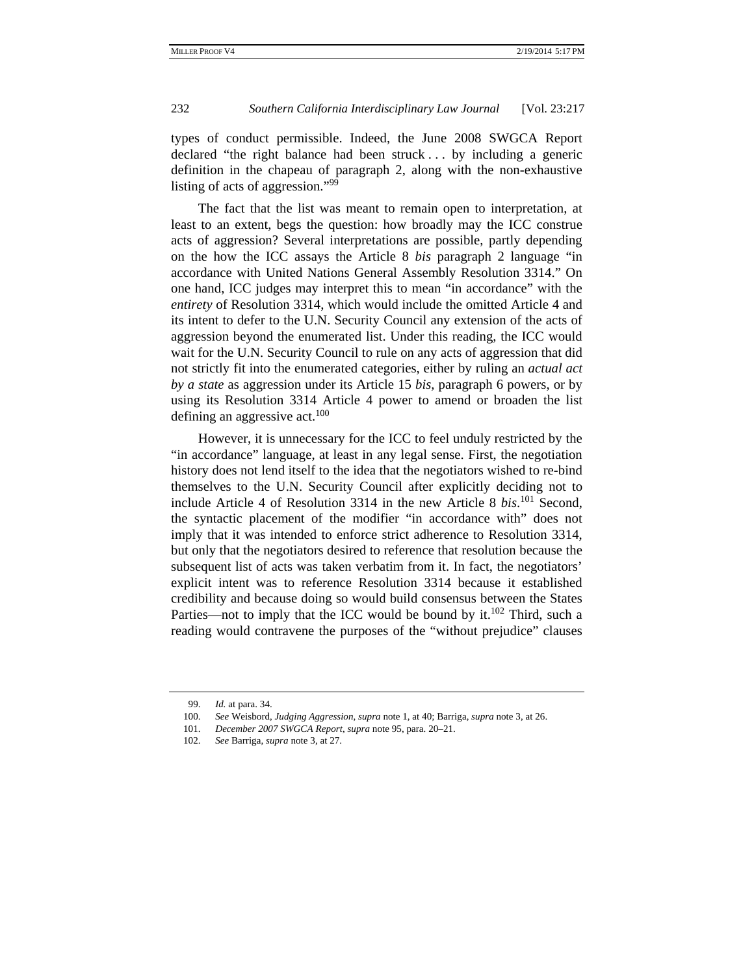types of conduct permissible. Indeed, the June 2008 SWGCA Report declared "the right balance had been struck . . . by including a generic definition in the chapeau of paragraph 2, along with the non-exhaustive listing of acts of aggression."99

The fact that the list was meant to remain open to interpretation, at least to an extent, begs the question: how broadly may the ICC construe acts of aggression? Several interpretations are possible, partly depending on the how the ICC assays the Article 8 *bis* paragraph 2 language "in accordance with United Nations General Assembly Resolution 3314." On one hand, ICC judges may interpret this to mean "in accordance" with the *entirety* of Resolution 3314, which would include the omitted Article 4 and its intent to defer to the U.N. Security Council any extension of the acts of aggression beyond the enumerated list. Under this reading, the ICC would wait for the U.N. Security Council to rule on any acts of aggression that did not strictly fit into the enumerated categories, either by ruling an *actual act by a state* as aggression under its Article 15 *bis,* paragraph 6 powers, or by using its Resolution 3314 Article 4 power to amend or broaden the list defining an aggressive act.<sup>100</sup>

However, it is unnecessary for the ICC to feel unduly restricted by the "in accordance" language, at least in any legal sense. First, the negotiation history does not lend itself to the idea that the negotiators wished to re-bind themselves to the U.N. Security Council after explicitly deciding not to include Article 4 of Resolution 3314 in the new Article 8 *bis*. 101 Second, the syntactic placement of the modifier "in accordance with" does not imply that it was intended to enforce strict adherence to Resolution 3314, but only that the negotiators desired to reference that resolution because the subsequent list of acts was taken verbatim from it. In fact, the negotiators' explicit intent was to reference Resolution 3314 because it established credibility and because doing so would build consensus between the States Parties—not to imply that the ICC would be bound by it. $102$  Third, such a reading would contravene the purposes of the "without prejudice" clauses

 <sup>99.</sup> *Id.* at para. 34.

 <sup>100.</sup> *See* Weisbord, *Judging Aggression*, *supra* note 1, at 40; Barriga, *supra* note 3, at 26.

 <sup>101.</sup> *December 2007 SWGCA Report*, *supra* note 95, para. 20–21.

 <sup>102.</sup> *See* Barriga, *supra* note 3, at 27.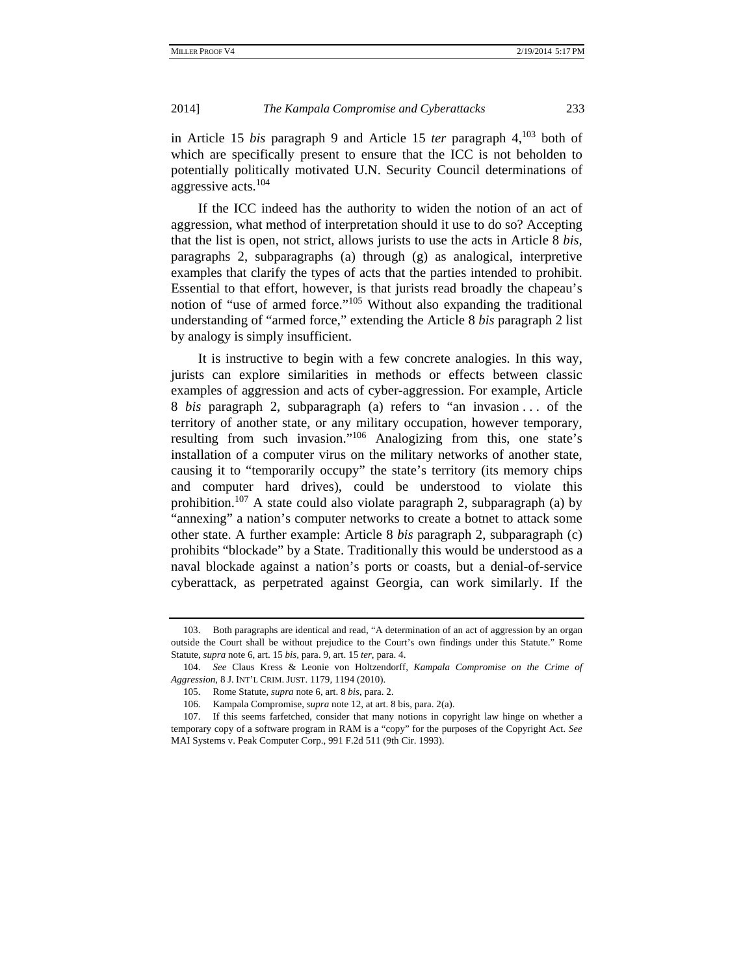in Article 15 *bis* paragraph 9 and Article 15 *ter* paragraph 4,103 both of which are specifically present to ensure that the ICC is not beholden to potentially politically motivated U.N. Security Council determinations of aggressive acts.<sup>104</sup>

If the ICC indeed has the authority to widen the notion of an act of aggression, what method of interpretation should it use to do so? Accepting that the list is open, not strict, allows jurists to use the acts in Article 8 *bis,*  paragraphs 2, subparagraphs (a) through (g) as analogical, interpretive examples that clarify the types of acts that the parties intended to prohibit. Essential to that effort, however, is that jurists read broadly the chapeau's notion of "use of armed force."105 Without also expanding the traditional understanding of "armed force," extending the Article 8 *bis* paragraph 2 list by analogy is simply insufficient.

It is instructive to begin with a few concrete analogies. In this way, jurists can explore similarities in methods or effects between classic examples of aggression and acts of cyber-aggression. For example, Article 8 *bis* paragraph 2, subparagraph (a) refers to "an invasion . . . of the territory of another state, or any military occupation, however temporary, resulting from such invasion."<sup>106</sup> Analogizing from this, one state's installation of a computer virus on the military networks of another state, causing it to "temporarily occupy" the state's territory (its memory chips and computer hard drives), could be understood to violate this prohibition.<sup>107</sup> A state could also violate paragraph 2, subparagraph (a) by "annexing" a nation's computer networks to create a botnet to attack some other state. A further example: Article 8 *bis* paragraph 2, subparagraph (c) prohibits "blockade" by a State. Traditionally this would be understood as a naval blockade against a nation's ports or coasts, but a denial-of-service cyberattack, as perpetrated against Georgia, can work similarly. If the

 <sup>103.</sup> Both paragraphs are identical and read, "A determination of an act of aggression by an organ outside the Court shall be without prejudice to the Court's own findings under this Statute." Rome Statute, *supra* note 6, art. 15 *bis,* para. 9, art. 15 *ter*, para. 4.

 <sup>104.</sup> *See* Claus Kress & Leonie von Holtzendorff, *Kampala Compromise on the Crime of Aggression*, 8 J. INT'L CRIM. JUST. 1179, 1194 (2010).

 <sup>105.</sup> Rome Statute, *supra* note 6, art. 8 *bis*, para. 2.

 <sup>106.</sup> Kampala Compromise, *supra* note 12, at art. 8 bis, para. 2(a).

 <sup>107.</sup> If this seems farfetched, consider that many notions in copyright law hinge on whether a temporary copy of a software program in RAM is a "copy" for the purposes of the Copyright Act. *See*  MAI Systems v. Peak Computer Corp., 991 F.2d 511 (9th Cir. 1993).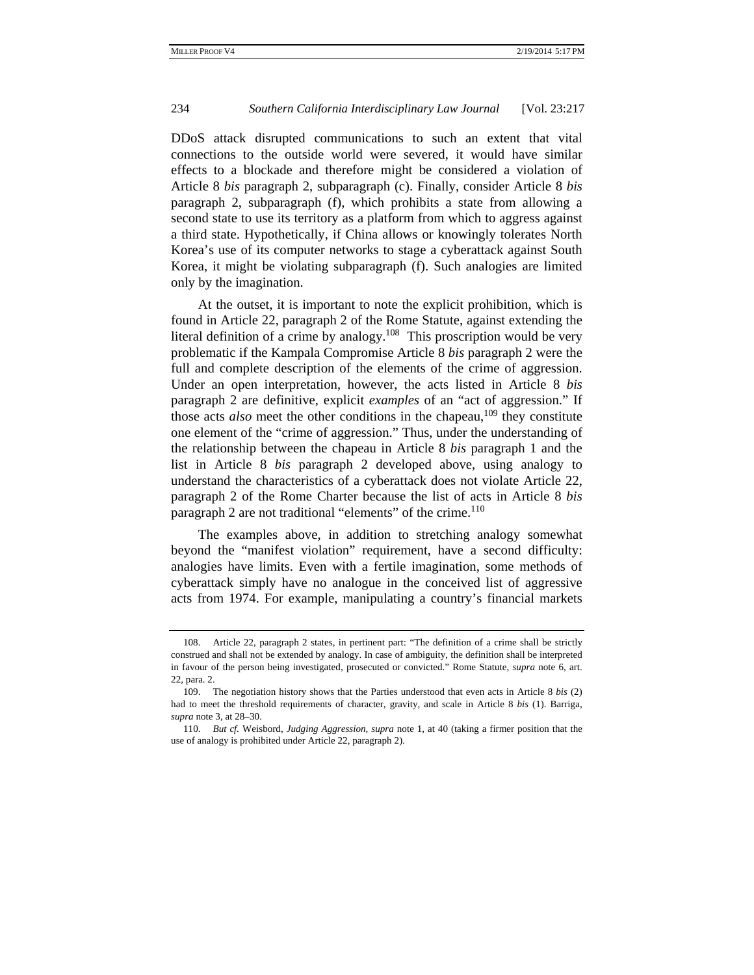DDoS attack disrupted communications to such an extent that vital connections to the outside world were severed, it would have similar effects to a blockade and therefore might be considered a violation of Article 8 *bis* paragraph 2, subparagraph (c). Finally, consider Article 8 *bis* paragraph 2, subparagraph (f), which prohibits a state from allowing a second state to use its territory as a platform from which to aggress against a third state. Hypothetically, if China allows or knowingly tolerates North Korea's use of its computer networks to stage a cyberattack against South Korea, it might be violating subparagraph (f). Such analogies are limited only by the imagination.

At the outset, it is important to note the explicit prohibition, which is found in Article 22, paragraph 2 of the Rome Statute, against extending the literal definition of a crime by analogy.<sup>108</sup> This proscription would be very problematic if the Kampala Compromise Article 8 *bis* paragraph 2 were the full and complete description of the elements of the crime of aggression. Under an open interpretation, however, the acts listed in Article 8 *bis* paragraph 2 are definitive, explicit *examples* of an "act of aggression." If those acts *also* meet the other conditions in the chapeau,<sup>109</sup> they constitute one element of the "crime of aggression." Thus, under the understanding of the relationship between the chapeau in Article 8 *bis* paragraph 1 and the list in Article 8 *bis* paragraph 2 developed above, using analogy to understand the characteristics of a cyberattack does not violate Article 22, paragraph 2 of the Rome Charter because the list of acts in Article 8 *bis*  paragraph 2 are not traditional "elements" of the crime.<sup>110</sup>

The examples above, in addition to stretching analogy somewhat beyond the "manifest violation" requirement, have a second difficulty: analogies have limits. Even with a fertile imagination, some methods of cyberattack simply have no analogue in the conceived list of aggressive acts from 1974. For example, manipulating a country's financial markets

 <sup>108.</sup> Article 22, paragraph 2 states, in pertinent part: "The definition of a crime shall be strictly construed and shall not be extended by analogy. In case of ambiguity, the definition shall be interpreted in favour of the person being investigated, prosecuted or convicted." Rome Statute, *supra* note 6, art. 22, para. 2.

 <sup>109.</sup> The negotiation history shows that the Parties understood that even acts in Article 8 *bis* (2) had to meet the threshold requirements of character, gravity, and scale in Article 8 *bis* (1). Barriga, *supra* note 3, at 28–30.

 <sup>110.</sup> *But cf.* Weisbord, *Judging Aggression*, *supra* note 1, at 40 (taking a firmer position that the use of analogy is prohibited under Article 22, paragraph 2).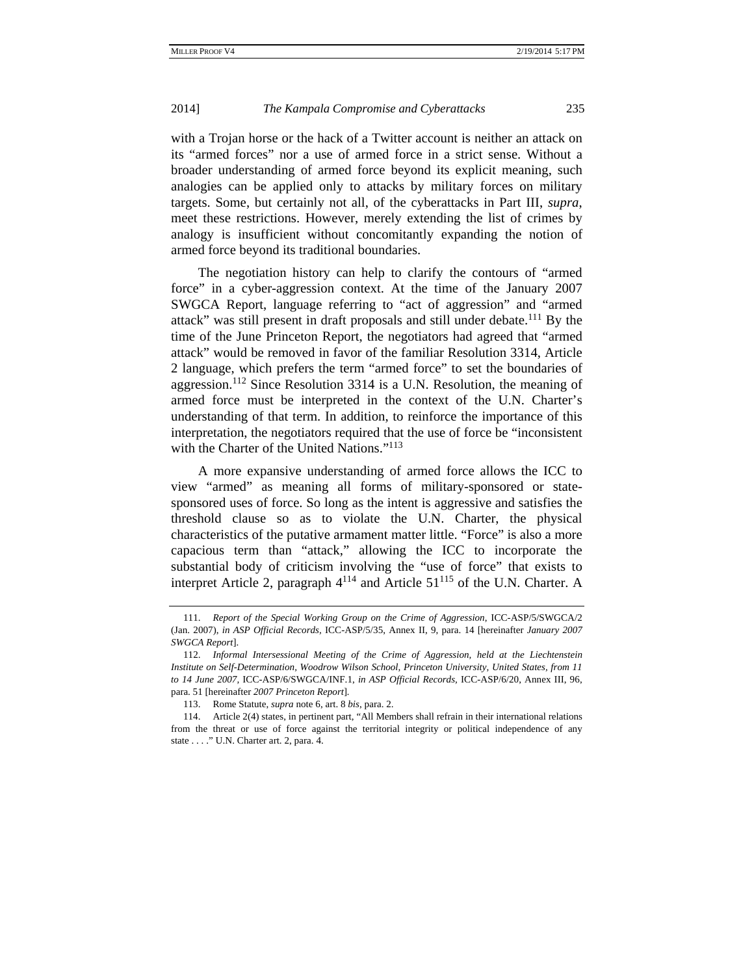with a Trojan horse or the hack of a Twitter account is neither an attack on its "armed forces" nor a use of armed force in a strict sense. Without a broader understanding of armed force beyond its explicit meaning, such analogies can be applied only to attacks by military forces on military targets. Some, but certainly not all, of the cyberattacks in Part III, *supra*, meet these restrictions. However, merely extending the list of crimes by analogy is insufficient without concomitantly expanding the notion of armed force beyond its traditional boundaries.

The negotiation history can help to clarify the contours of "armed force" in a cyber-aggression context. At the time of the January 2007 SWGCA Report, language referring to "act of aggression" and "armed attack" was still present in draft proposals and still under debate.<sup>111</sup> By the time of the June Princeton Report, the negotiators had agreed that "armed attack" would be removed in favor of the familiar Resolution 3314, Article 2 language, which prefers the term "armed force" to set the boundaries of aggression.<sup>112</sup> Since Resolution 3314 is a U.N. Resolution, the meaning of armed force must be interpreted in the context of the U.N. Charter's understanding of that term. In addition, to reinforce the importance of this interpretation, the negotiators required that the use of force be "inconsistent with the Charter of the United Nations."<sup>113</sup>

A more expansive understanding of armed force allows the ICC to view "armed" as meaning all forms of military-sponsored or statesponsored uses of force. So long as the intent is aggressive and satisfies the threshold clause so as to violate the U.N. Charter, the physical characteristics of the putative armament matter little. "Force" is also a more capacious term than "attack," allowing the ICC to incorporate the substantial body of criticism involving the "use of force" that exists to interpret Article 2, paragraph  $4^{114}$  and Article  $51^{115}$  of the U.N. Charter. A

 <sup>111.</sup> *Report of the Special Working Group on the Crime of Aggression*, ICC-ASP/5/SWGCA/2 (Jan. 2007), *in ASP Official Records,* ICC-ASP/5/35, Annex II, 9, para. 14 [hereinafter *January 2007 SWGCA Report*].

 <sup>112.</sup> *Informal Intersessional Meeting of the Crime of Aggression, held at the Liechtenstein Institute on Self-Determination, Woodrow Wilson School, Princeton University, United States, from 11 to 14 June 2007,* ICC-ASP/6/SWGCA/INF.1, *in ASP Official Records,* ICC-ASP/6/20, Annex III, 96, para. 51 [hereinafter *2007 Princeton Report*]*.*

 <sup>113.</sup> Rome Statute, *supra* note 6, art. 8 *bis*, para. 2.

 <sup>114.</sup> Article 2(4) states, in pertinent part, "All Members shall refrain in their international relations from the threat or use of force against the territorial integrity or political independence of any state . . . ." U.N. Charter art. 2, para. 4.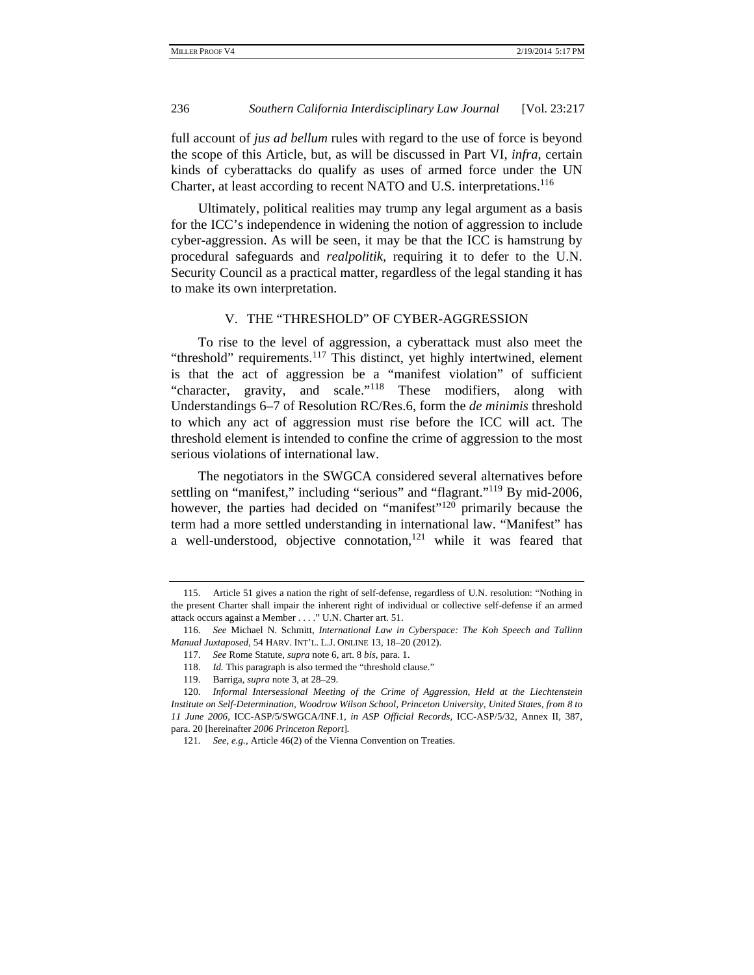full account of *jus ad bellum* rules with regard to the use of force is beyond the scope of this Article, but, as will be discussed in Part VI, *infra*, certain kinds of cyberattacks do qualify as uses of armed force under the UN Charter, at least according to recent NATO and U.S. interpretations.<sup>116</sup>

Ultimately, political realities may trump any legal argument as a basis for the ICC's independence in widening the notion of aggression to include cyber-aggression. As will be seen, it may be that the ICC is hamstrung by procedural safeguards and *realpolitik,* requiring it to defer to the U.N. Security Council as a practical matter, regardless of the legal standing it has to make its own interpretation.

### V. THE "THRESHOLD" OF CYBER-AGGRESSION

To rise to the level of aggression, a cyberattack must also meet the "threshold" requirements. $117$  This distinct, yet highly intertwined, element is that the act of aggression be a "manifest violation" of sufficient "character, gravity, and scale."118 These modifiers, along with Understandings 6–7 of Resolution RC/Res.6, form the *de minimis* threshold to which any act of aggression must rise before the ICC will act. The threshold element is intended to confine the crime of aggression to the most serious violations of international law.

The negotiators in the SWGCA considered several alternatives before settling on "manifest," including "serious" and "flagrant."<sup>119</sup> By mid-2006, however, the parties had decided on "manifest"<sup>120</sup> primarily because the term had a more settled understanding in international law. "Manifest" has a well-understood, objective connotation, $121$  while it was feared that

 <sup>115.</sup> Article 51 gives a nation the right of self-defense, regardless of U.N. resolution: "Nothing in the present Charter shall impair the inherent right of individual or collective self-defense if an armed attack occurs against a Member . . . ." U.N. Charter art. 51.

 <sup>116.</sup> *See* Michael N. Schmitt, *International Law in Cyberspace: The Koh Speech and Tallinn Manual Juxtaposed*, 54 HARV. INT'L. L.J. ONLINE 13, 18–20 (2012).

 <sup>117.</sup> *See* Rome Statute, *supra* note 6, art. 8 *bis*, para. 1.

 <sup>118.</sup> *Id.* This paragraph is also termed the "threshold clause."

 <sup>119.</sup> Barriga, *supra* note 3, at 28–29.

 <sup>120.</sup> *Informal Intersessional Meeting of the Crime of Aggression, Held at the Liechtenstein Institute on Self-Determination, Woodrow Wilson School, Princeton University, United States, from 8 to 11 June 2006,* ICC-ASP/5/SWGCA/INF.1, *in ASP Official Records,* ICC-ASP/5/32, Annex II, 387, para. 20 [hereinafter *2006 Princeton Report*]*.*

 <sup>121.</sup> *See, e.g.*, Article 46(2) of the Vienna Convention on Treaties.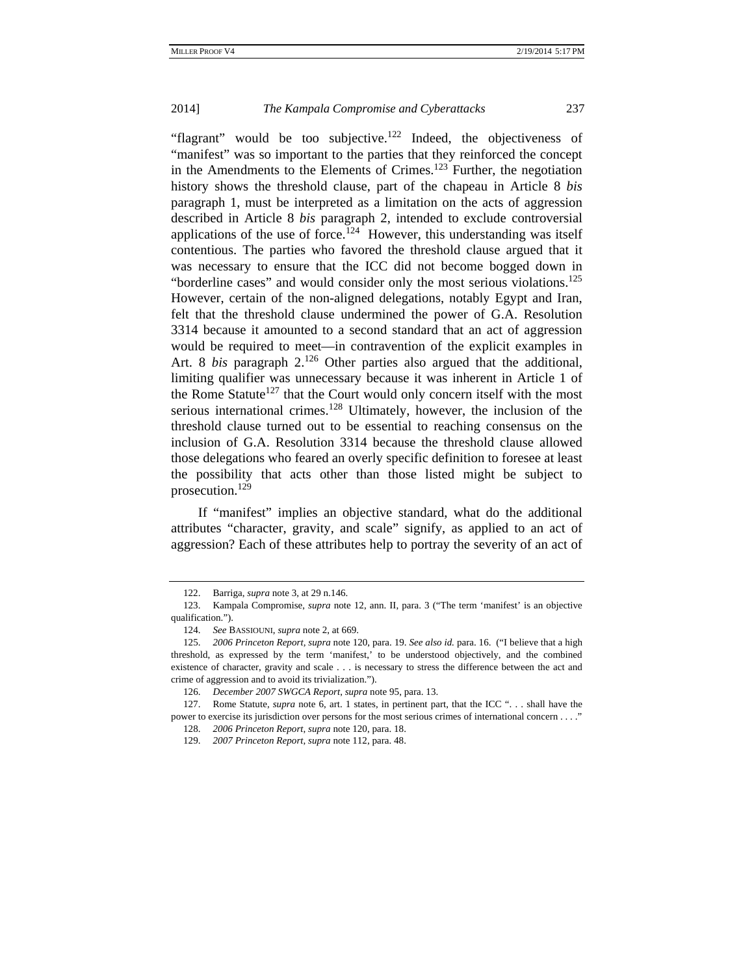"flagrant" would be too subjective.<sup>122</sup> Indeed, the objectiveness of "manifest" was so important to the parties that they reinforced the concept in the Amendments to the Elements of Crimes.<sup>123</sup> Further, the negotiation history shows the threshold clause, part of the chapeau in Article 8 *bis* paragraph 1, must be interpreted as a limitation on the acts of aggression described in Article 8 *bis* paragraph 2, intended to exclude controversial applications of the use of force.<sup>124</sup> However, this understanding was itself contentious. The parties who favored the threshold clause argued that it was necessary to ensure that the ICC did not become bogged down in "borderline cases" and would consider only the most serious violations.<sup>125</sup> However, certain of the non-aligned delegations, notably Egypt and Iran, felt that the threshold clause undermined the power of G.A. Resolution 3314 because it amounted to a second standard that an act of aggression would be required to meet—in contravention of the explicit examples in Art. 8 *bis* paragraph 2.<sup>126</sup> Other parties also argued that the additional, limiting qualifier was unnecessary because it was inherent in Article 1 of the Rome Statute<sup>127</sup> that the Court would only concern itself with the most serious international crimes.<sup>128</sup> Ultimately, however, the inclusion of the threshold clause turned out to be essential to reaching consensus on the inclusion of G.A. Resolution 3314 because the threshold clause allowed those delegations who feared an overly specific definition to foresee at least the possibility that acts other than those listed might be subject to prosecution.<sup>129</sup>

If "manifest" implies an objective standard, what do the additional attributes "character, gravity, and scale" signify, as applied to an act of aggression? Each of these attributes help to portray the severity of an act of

 <sup>122.</sup> Barriga, *supra* note 3, at 29 n.146.

 <sup>123.</sup> Kampala Compromise, *supra* note 12, ann. II, para. 3 ("The term 'manifest' is an objective qualification.").

 <sup>124.</sup> *See* BASSIOUNI, *supra* note 2, at 669.

 <sup>125.</sup> *2006 Princeton Report, supra* note 120, para. 19. *See also id.* para. 16. ("I believe that a high threshold, as expressed by the term 'manifest,' to be understood objectively, and the combined existence of character, gravity and scale . . . is necessary to stress the difference between the act and crime of aggression and to avoid its trivialization.").

 <sup>126.</sup> *December 2007 SWGCA Report*, *supra* note 95, para. 13.

 <sup>127.</sup> Rome Statute, *supra* note 6, art. 1 states, in pertinent part, that the ICC ". . . shall have the power to exercise its jurisdiction over persons for the most serious crimes of international concern . . . ."

 <sup>128.</sup> *2006 Princeton Report*, *supra* note 120, para. 18.

 <sup>129.</sup> *2007 Princeton Report*, *supra* note 112, para. 48.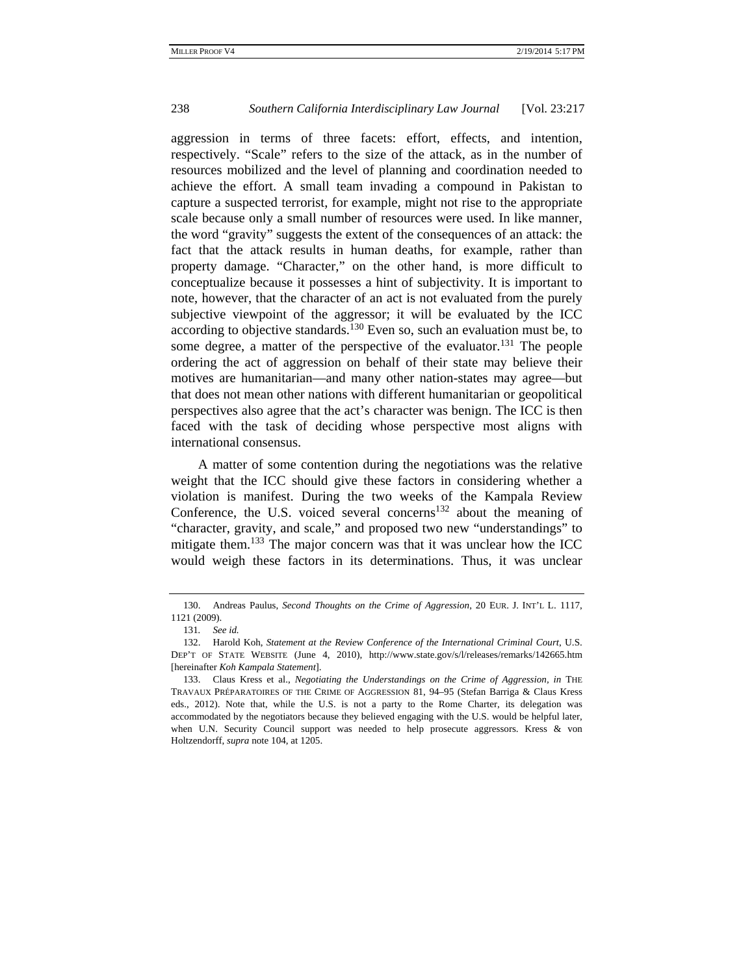aggression in terms of three facets: effort, effects, and intention, respectively. "Scale" refers to the size of the attack, as in the number of resources mobilized and the level of planning and coordination needed to achieve the effort. A small team invading a compound in Pakistan to capture a suspected terrorist, for example, might not rise to the appropriate scale because only a small number of resources were used. In like manner, the word "gravity" suggests the extent of the consequences of an attack: the fact that the attack results in human deaths, for example, rather than property damage. "Character," on the other hand, is more difficult to conceptualize because it possesses a hint of subjectivity. It is important to note, however, that the character of an act is not evaluated from the purely subjective viewpoint of the aggressor; it will be evaluated by the ICC according to objective standards.<sup>130</sup> Even so, such an evaluation must be, to some degree, a matter of the perspective of the evaluator.<sup>131</sup> The people ordering the act of aggression on behalf of their state may believe their motives are humanitarian—and many other nation-states may agree—but that does not mean other nations with different humanitarian or geopolitical perspectives also agree that the act's character was benign. The ICC is then faced with the task of deciding whose perspective most aligns with international consensus.

A matter of some contention during the negotiations was the relative weight that the ICC should give these factors in considering whether a violation is manifest. During the two weeks of the Kampala Review Conference, the U.S. voiced several concerns<sup>132</sup> about the meaning of "character, gravity, and scale," and proposed two new "understandings" to mitigate them.<sup>133</sup> The major concern was that it was unclear how the ICC would weigh these factors in its determinations. Thus, it was unclear

 <sup>130.</sup> Andreas Paulus, *Second Thoughts on the Crime of Aggression*, 20 EUR. J. INT'L L. 1117, 1121 (2009).

<sup>131</sup>*. See id.*

 <sup>132.</sup> Harold Koh, *Statement at the Review Conference of the International Criminal Court*, U.S. DEP'T OF STATE WEBSITE (June 4, 2010), http://www.state.gov/s/l/releases/remarks/142665.htm [hereinafter *Koh Kampala Statement*].

 <sup>133.</sup> Claus Kress et al., *Negotiating the Understandings on the Crime of Aggression, in* THE TRAVAUX PRÉPARATOIRES OF THE CRIME OF AGGRESSION 81, 94–95 (Stefan Barriga & Claus Kress eds., 2012). Note that, while the U.S. is not a party to the Rome Charter, its delegation was accommodated by the negotiators because they believed engaging with the U.S. would be helpful later, when U.N. Security Council support was needed to help prosecute aggressors. Kress & von Holtzendorff, *supra* note 104, at 1205.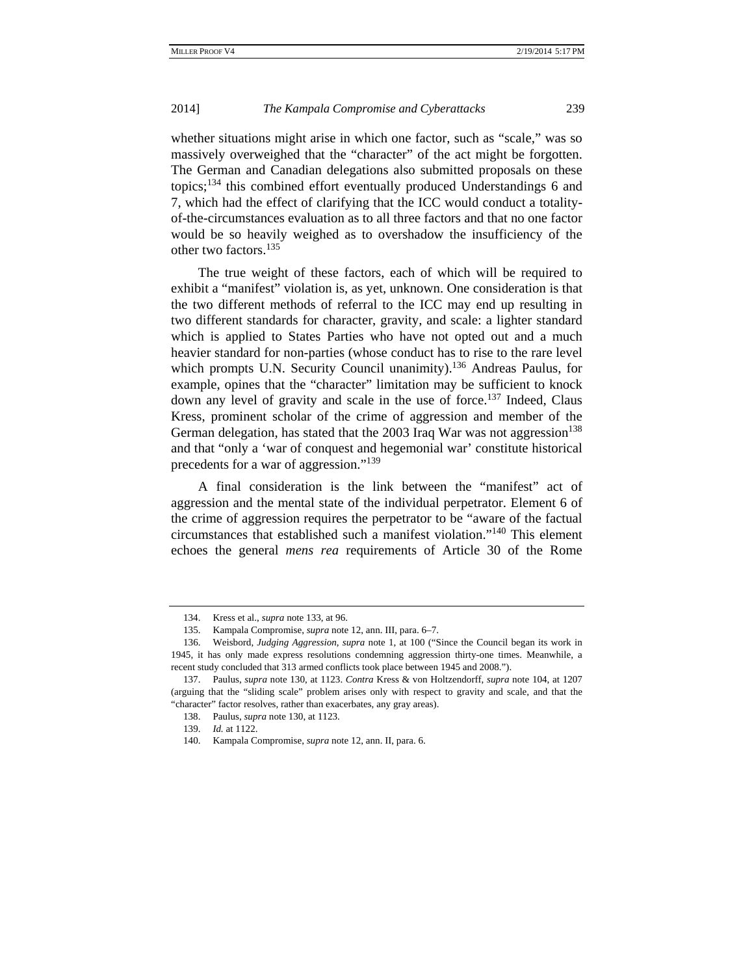whether situations might arise in which one factor, such as "scale," was so massively overweighed that the "character" of the act might be forgotten. The German and Canadian delegations also submitted proposals on these topics;134 this combined effort eventually produced Understandings 6 and 7, which had the effect of clarifying that the ICC would conduct a totalityof-the-circumstances evaluation as to all three factors and that no one factor would be so heavily weighed as to overshadow the insufficiency of the other two factors.<sup>135</sup>

The true weight of these factors, each of which will be required to exhibit a "manifest" violation is, as yet, unknown. One consideration is that the two different methods of referral to the ICC may end up resulting in two different standards for character, gravity, and scale: a lighter standard which is applied to States Parties who have not opted out and a much heavier standard for non-parties (whose conduct has to rise to the rare level which prompts U.N. Security Council unanimity).<sup>136</sup> Andreas Paulus, for example, opines that the "character" limitation may be sufficient to knock down any level of gravity and scale in the use of force.<sup>137</sup> Indeed, Claus Kress, prominent scholar of the crime of aggression and member of the German delegation, has stated that the 2003 Iraq War was not aggression<sup>138</sup> and that "only a 'war of conquest and hegemonial war' constitute historical precedents for a war of aggression."<sup>139</sup>

A final consideration is the link between the "manifest" act of aggression and the mental state of the individual perpetrator. Element 6 of the crime of aggression requires the perpetrator to be "aware of the factual circumstances that established such a manifest violation."140 This element echoes the general *mens rea* requirements of Article 30 of the Rome

 <sup>134.</sup> Kress et al., *supra* note 133, at 96.

 <sup>135.</sup> Kampala Compromise, *supra* note 12, ann. III, para. 6–7.

 <sup>136.</sup> Weisbord, *Judging Aggression*, *supra* note 1, at 100 ("Since the Council began its work in 1945, it has only made express resolutions condemning aggression thirty-one times. Meanwhile, a recent study concluded that 313 armed conflicts took place between 1945 and 2008.").

 <sup>137.</sup> Paulus, *supra* note 130, at 1123. *Contra* Kress & von Holtzendorff, *supra* note 104, at 1207 (arguing that the "sliding scale" problem arises only with respect to gravity and scale, and that the "character" factor resolves, rather than exacerbates, any gray areas).

 <sup>138.</sup> Paulus, *supra* note 130, at 1123.

 <sup>139.</sup> *Id.* at 1122.

 <sup>140.</sup> Kampala Compromise, *supra* note 12, ann. II, para. 6.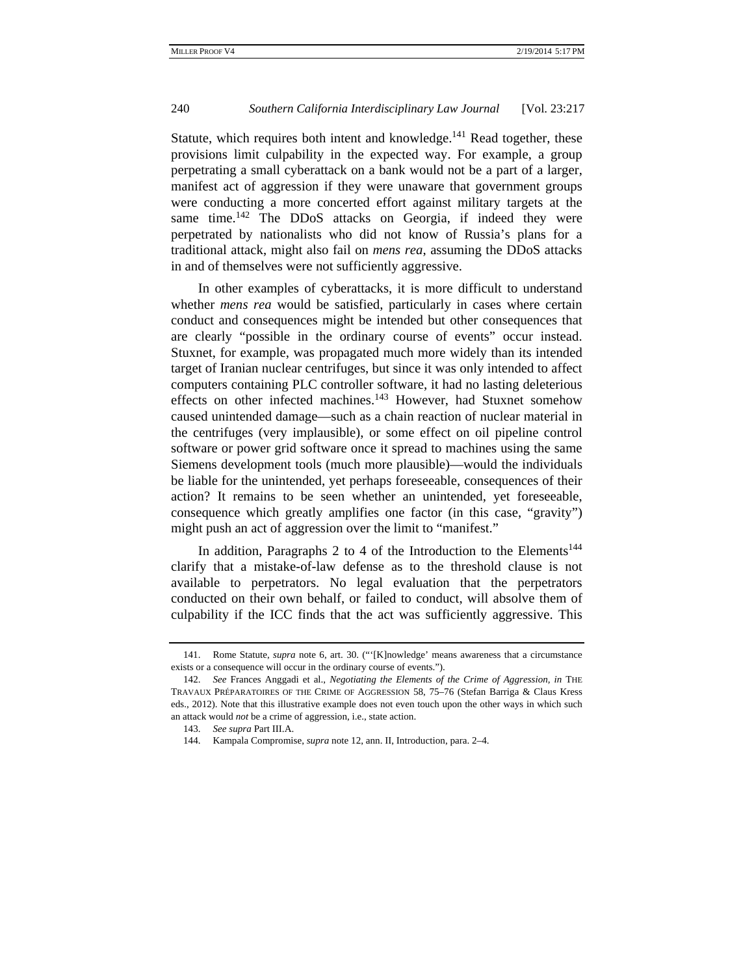Statute, which requires both intent and knowledge. $141$  Read together, these provisions limit culpability in the expected way. For example, a group perpetrating a small cyberattack on a bank would not be a part of a larger, manifest act of aggression if they were unaware that government groups were conducting a more concerted effort against military targets at the same time.<sup>142</sup> The DDoS attacks on Georgia, if indeed they were perpetrated by nationalists who did not know of Russia's plans for a traditional attack, might also fail on *mens rea*, assuming the DDoS attacks in and of themselves were not sufficiently aggressive.

In other examples of cyberattacks, it is more difficult to understand whether *mens rea* would be satisfied, particularly in cases where certain conduct and consequences might be intended but other consequences that are clearly "possible in the ordinary course of events" occur instead. Stuxnet, for example, was propagated much more widely than its intended target of Iranian nuclear centrifuges, but since it was only intended to affect computers containing PLC controller software, it had no lasting deleterious effects on other infected machines.<sup>143</sup> However, had Stuxnet somehow caused unintended damage—such as a chain reaction of nuclear material in the centrifuges (very implausible), or some effect on oil pipeline control software or power grid software once it spread to machines using the same Siemens development tools (much more plausible)—would the individuals be liable for the unintended, yet perhaps foreseeable, consequences of their action? It remains to be seen whether an unintended, yet foreseeable, consequence which greatly amplifies one factor (in this case, "gravity") might push an act of aggression over the limit to "manifest."

In addition, Paragraphs 2 to 4 of the Introduction to the Elements<sup>144</sup> clarify that a mistake-of-law defense as to the threshold clause is not available to perpetrators. No legal evaluation that the perpetrators conducted on their own behalf, or failed to conduct, will absolve them of culpability if the ICC finds that the act was sufficiently aggressive. This

 <sup>141.</sup> Rome Statute, *supra* note 6, art. 30. ("'[K]nowledge' means awareness that a circumstance exists or a consequence will occur in the ordinary course of events.").

 <sup>142.</sup> *See* Frances Anggadi et al., *Negotiating the Elements of the Crime of Aggression, in* THE TRAVAUX PRÉPARATOIRES OF THE CRIME OF AGGRESSION 58, 75–76 (Stefan Barriga & Claus Kress eds., 2012). Note that this illustrative example does not even touch upon the other ways in which such an attack would *not* be a crime of aggression, i.e., state action.

 <sup>143.</sup> *See supra* Part III.A.

 <sup>144.</sup> Kampala Compromise, *supra* note 12, ann. II, Introduction, para. 2–4.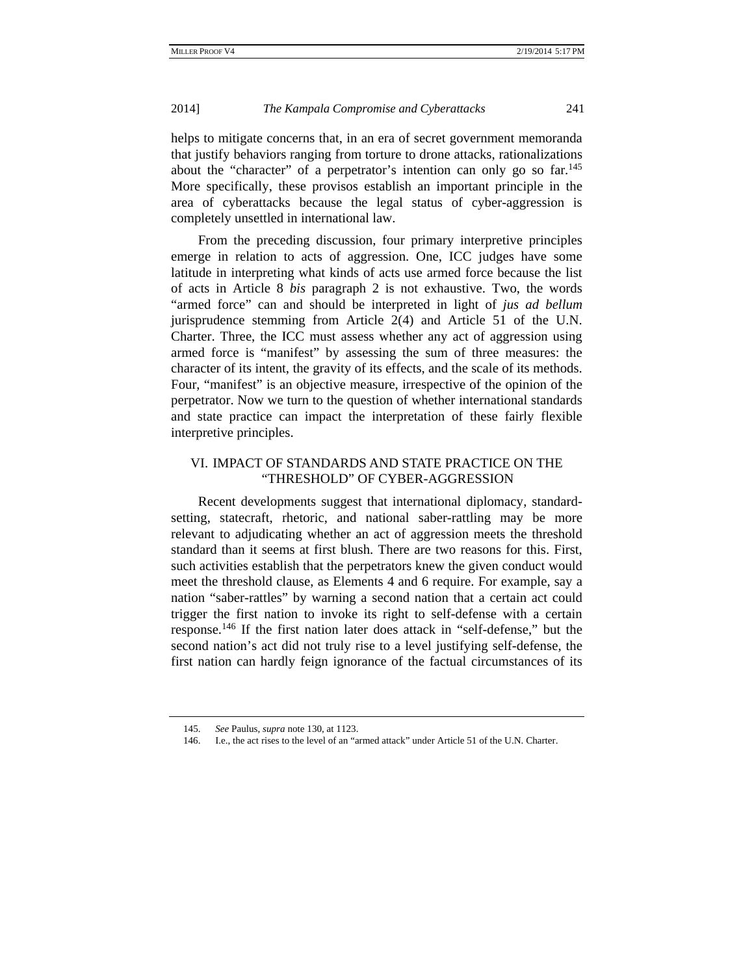helps to mitigate concerns that, in an era of secret government memoranda that justify behaviors ranging from torture to drone attacks, rationalizations about the "character" of a perpetrator's intention can only go so  $far.145$ More specifically, these provisos establish an important principle in the area of cyberattacks because the legal status of cyber-aggression is completely unsettled in international law.

From the preceding discussion, four primary interpretive principles emerge in relation to acts of aggression. One, ICC judges have some latitude in interpreting what kinds of acts use armed force because the list of acts in Article 8 *bis* paragraph 2 is not exhaustive. Two, the words "armed force" can and should be interpreted in light of *jus ad bellum* jurisprudence stemming from Article 2(4) and Article 51 of the U.N. Charter. Three, the ICC must assess whether any act of aggression using armed force is "manifest" by assessing the sum of three measures: the character of its intent, the gravity of its effects, and the scale of its methods. Four, "manifest" is an objective measure, irrespective of the opinion of the perpetrator. Now we turn to the question of whether international standards and state practice can impact the interpretation of these fairly flexible interpretive principles.

## VI. IMPACT OF STANDARDS AND STATE PRACTICE ON THE "THRESHOLD" OF CYBER-AGGRESSION

Recent developments suggest that international diplomacy, standardsetting, statecraft, rhetoric, and national saber-rattling may be more relevant to adjudicating whether an act of aggression meets the threshold standard than it seems at first blush. There are two reasons for this. First, such activities establish that the perpetrators knew the given conduct would meet the threshold clause, as Elements 4 and 6 require. For example, say a nation "saber-rattles" by warning a second nation that a certain act could trigger the first nation to invoke its right to self-defense with a certain response.146 If the first nation later does attack in "self-defense," but the second nation's act did not truly rise to a level justifying self-defense, the first nation can hardly feign ignorance of the factual circumstances of its

 <sup>145.</sup> *See* Paulus, *supra* note 130, at 1123.

 <sup>146.</sup> I.e., the act rises to the level of an "armed attack" under Article 51 of the U.N. Charter.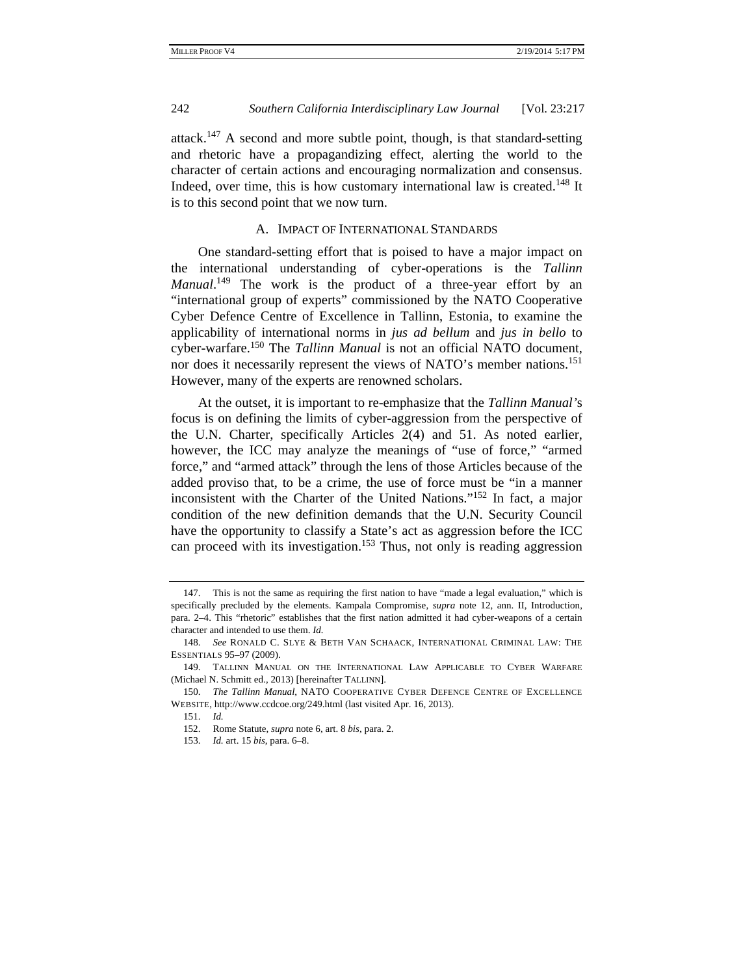attack.147 A second and more subtle point, though, is that standard-setting and rhetoric have a propagandizing effect, alerting the world to the character of certain actions and encouraging normalization and consensus. Indeed, over time, this is how customary international law is created.<sup>148</sup> It is to this second point that we now turn.

#### A. IMPACT OF INTERNATIONAL STANDARDS

One standard-setting effort that is poised to have a major impact on the international understanding of cyber-operations is the *Tallinn Manual*. 149 The work is the product of a three-year effort by an "international group of experts" commissioned by the NATO Cooperative Cyber Defence Centre of Excellence in Tallinn, Estonia, to examine the applicability of international norms in *jus ad bellum* and *jus in bello* to cyber-warfare.150 The *Tallinn Manual* is not an official NATO document, nor does it necessarily represent the views of NATO's member nations.<sup>151</sup> However, many of the experts are renowned scholars.

At the outset, it is important to re-emphasize that the *Tallinn Manual'*s focus is on defining the limits of cyber-aggression from the perspective of the U.N. Charter, specifically Articles 2(4) and 51. As noted earlier, however, the ICC may analyze the meanings of "use of force," "armed force," and "armed attack" through the lens of those Articles because of the added proviso that, to be a crime, the use of force must be "in a manner inconsistent with the Charter of the United Nations."152 In fact, a major condition of the new definition demands that the U.N. Security Council have the opportunity to classify a State's act as aggression before the ICC can proceed with its investigation.<sup>153</sup> Thus, not only is reading aggression

 <sup>147.</sup> This is not the same as requiring the first nation to have "made a legal evaluation," which is specifically precluded by the elements. Kampala Compromise, *supra* note 12, ann. II, Introduction, para. 2–4. This "rhetoric" establishes that the first nation admitted it had cyber-weapons of a certain character and intended to use them. *Id.*

 <sup>148.</sup> *See* RONALD C. SLYE & BETH VAN SCHAACK, INTERNATIONAL CRIMINAL LAW: THE ESSENTIALS 95–97 (2009).

 <sup>149.</sup> TALLINN MANUAL ON THE INTERNATIONAL LAW APPLICABLE TO CYBER WARFARE (Michael N. Schmitt ed., 2013) [hereinafter TALLINN].

 <sup>150.</sup> *The Tallinn Manual*, NATO COOPERATIVE CYBER DEFENCE CENTRE OF EXCELLENCE WEBSITE, http://www.ccdcoe.org/249.html (last visited Apr. 16, 2013).

 <sup>151.</sup> *Id.* 

 <sup>152.</sup> Rome Statute, *supra* note 6, art. 8 *bis*, para. 2.

 <sup>153.</sup> *Id.* art. 15 *bis*, para. 6–8.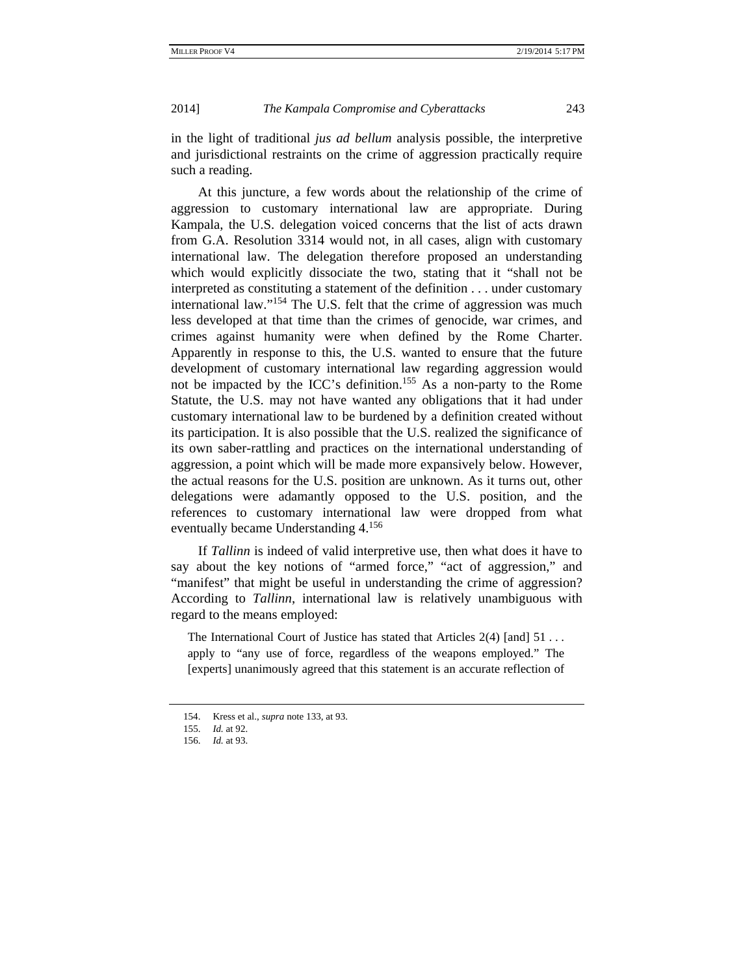in the light of traditional *jus ad bellum* analysis possible, the interpretive and jurisdictional restraints on the crime of aggression practically require such a reading.

At this juncture, a few words about the relationship of the crime of aggression to customary international law are appropriate. During Kampala, the U.S. delegation voiced concerns that the list of acts drawn from G.A. Resolution 3314 would not, in all cases, align with customary international law. The delegation therefore proposed an understanding which would explicitly dissociate the two, stating that it "shall not be interpreted as constituting a statement of the definition . . . under customary international law."<sup>154</sup> The U.S. felt that the crime of aggression was much less developed at that time than the crimes of genocide, war crimes, and crimes against humanity were when defined by the Rome Charter. Apparently in response to this, the U.S. wanted to ensure that the future development of customary international law regarding aggression would not be impacted by the ICC's definition.155 As a non-party to the Rome Statute, the U.S. may not have wanted any obligations that it had under customary international law to be burdened by a definition created without its participation. It is also possible that the U.S. realized the significance of its own saber-rattling and practices on the international understanding of aggression, a point which will be made more expansively below. However, the actual reasons for the U.S. position are unknown. As it turns out, other delegations were adamantly opposed to the U.S. position, and the references to customary international law were dropped from what eventually became Understanding 4.156

If *Tallinn* is indeed of valid interpretive use, then what does it have to say about the key notions of "armed force," "act of aggression," and "manifest" that might be useful in understanding the crime of aggression? According to *Tallinn*, international law is relatively unambiguous with regard to the means employed:

The International Court of Justice has stated that Articles 2(4) [and] 51 . . . apply to "any use of force, regardless of the weapons employed." The [experts] unanimously agreed that this statement is an accurate reflection of

 <sup>154.</sup> Kress et al., *supra* note 133, at 93.

 <sup>155.</sup> *Id.* at 92.

 <sup>156.</sup> *Id.* at 93.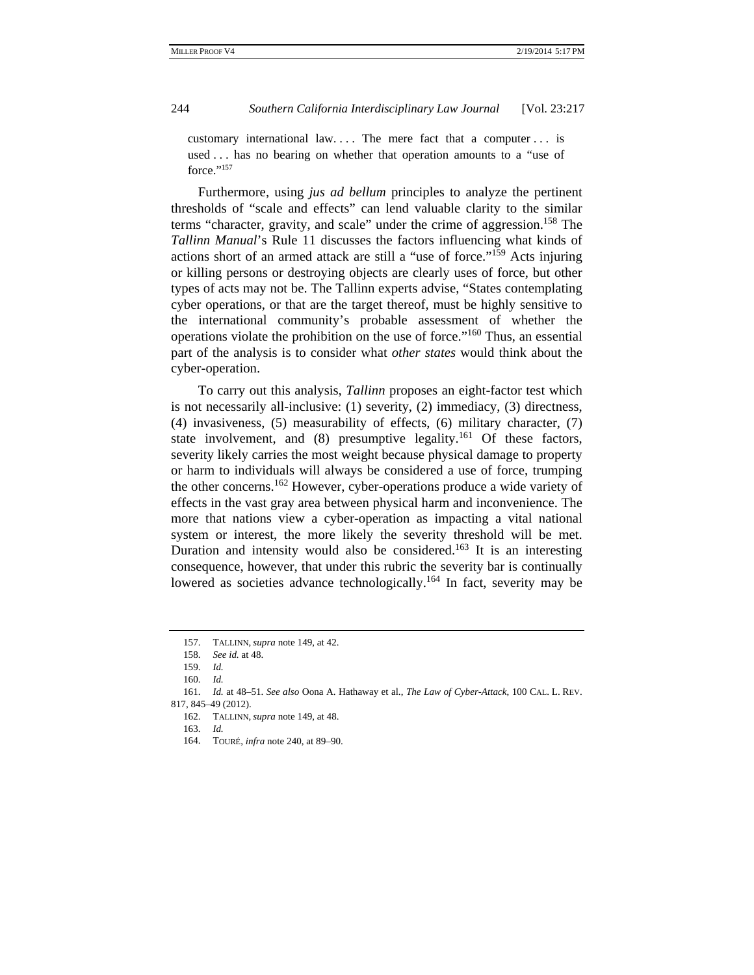customary international law. . . . The mere fact that a computer . . . is used . . . has no bearing on whether that operation amounts to a "use of force."<sup>157</sup>

Furthermore, using *jus ad bellum* principles to analyze the pertinent thresholds of "scale and effects" can lend valuable clarity to the similar terms "character, gravity, and scale" under the crime of aggression.<sup>158</sup> The *Tallinn Manual*'s Rule 11 discusses the factors influencing what kinds of actions short of an armed attack are still a "use of force."159 Acts injuring or killing persons or destroying objects are clearly uses of force, but other types of acts may not be. The Tallinn experts advise, "States contemplating cyber operations, or that are the target thereof, must be highly sensitive to the international community's probable assessment of whether the operations violate the prohibition on the use of force."160 Thus, an essential part of the analysis is to consider what *other states* would think about the cyber-operation.

To carry out this analysis, *Tallinn* proposes an eight-factor test which is not necessarily all-inclusive: (1) severity, (2) immediacy, (3) directness, (4) invasiveness, (5) measurability of effects, (6) military character, (7) state involvement, and  $(8)$  presumptive legality.<sup>161</sup> Of these factors, severity likely carries the most weight because physical damage to property or harm to individuals will always be considered a use of force, trumping the other concerns.162 However, cyber-operations produce a wide variety of effects in the vast gray area between physical harm and inconvenience. The more that nations view a cyber-operation as impacting a vital national system or interest, the more likely the severity threshold will be met. Duration and intensity would also be considered.<sup>163</sup> It is an interesting consequence, however, that under this rubric the severity bar is continually lowered as societies advance technologically.<sup>164</sup> In fact, severity may be

 <sup>157.</sup> TALLINN, *supra* note 149, at 42.

 <sup>158.</sup> *See id.* at 48.

 <sup>159.</sup> *Id.*

 <sup>160.</sup> *Id.*

 <sup>161.</sup> *Id.* at 48–51. *See also* Oona A. Hathaway et al., *The Law of Cyber-Attack*, 100 CAL. L. REV. 817, 845–49 (2012).

 <sup>162.</sup> TALLINN, *supra* note 149, at 48.

 <sup>163.</sup> *Id.*

 <sup>164.</sup> TOURÉ, *infra* note 240, at 89–90.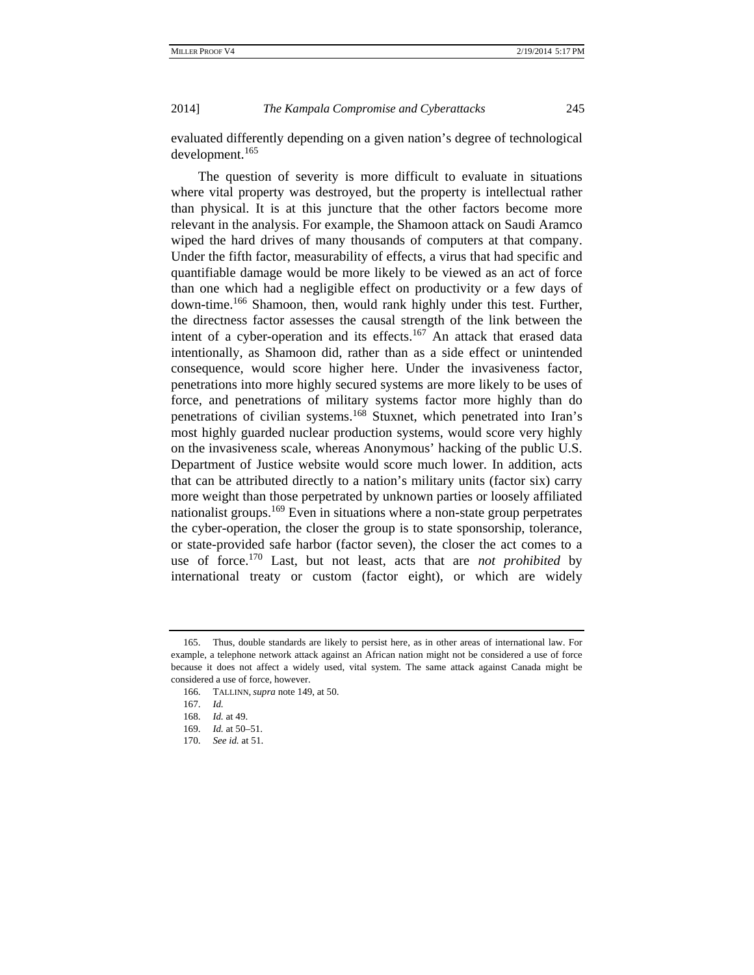evaluated differently depending on a given nation's degree of technological development.<sup>165</sup>

The question of severity is more difficult to evaluate in situations where vital property was destroyed, but the property is intellectual rather than physical. It is at this juncture that the other factors become more relevant in the analysis. For example, the Shamoon attack on Saudi Aramco wiped the hard drives of many thousands of computers at that company. Under the fifth factor, measurability of effects, a virus that had specific and quantifiable damage would be more likely to be viewed as an act of force than one which had a negligible effect on productivity or a few days of down-time.166 Shamoon, then, would rank highly under this test. Further, the directness factor assesses the causal strength of the link between the intent of a cyber-operation and its effects.<sup>167</sup> An attack that erased data intentionally, as Shamoon did, rather than as a side effect or unintended consequence, would score higher here. Under the invasiveness factor, penetrations into more highly secured systems are more likely to be uses of force, and penetrations of military systems factor more highly than do penetrations of civilian systems.168 Stuxnet, which penetrated into Iran's most highly guarded nuclear production systems, would score very highly on the invasiveness scale, whereas Anonymous' hacking of the public U.S. Department of Justice website would score much lower. In addition, acts that can be attributed directly to a nation's military units (factor six) carry more weight than those perpetrated by unknown parties or loosely affiliated nationalist groups.<sup>169</sup> Even in situations where a non-state group perpetrates the cyber-operation, the closer the group is to state sponsorship, tolerance, or state-provided safe harbor (factor seven), the closer the act comes to a use of force.170 Last, but not least, acts that are *not prohibited* by international treaty or custom (factor eight), or which are widely

 <sup>165.</sup> Thus, double standards are likely to persist here, as in other areas of international law. For example, a telephone network attack against an African nation might not be considered a use of force because it does not affect a widely used, vital system. The same attack against Canada might be considered a use of force, however.

 <sup>166.</sup> TALLINN, *supra* note 149, at 50.

 <sup>167.</sup> *Id.*

 <sup>168.</sup> *Id.* at 49.

 <sup>169.</sup> *Id.* at 50–51.

 <sup>170.</sup> *See id.* at 51.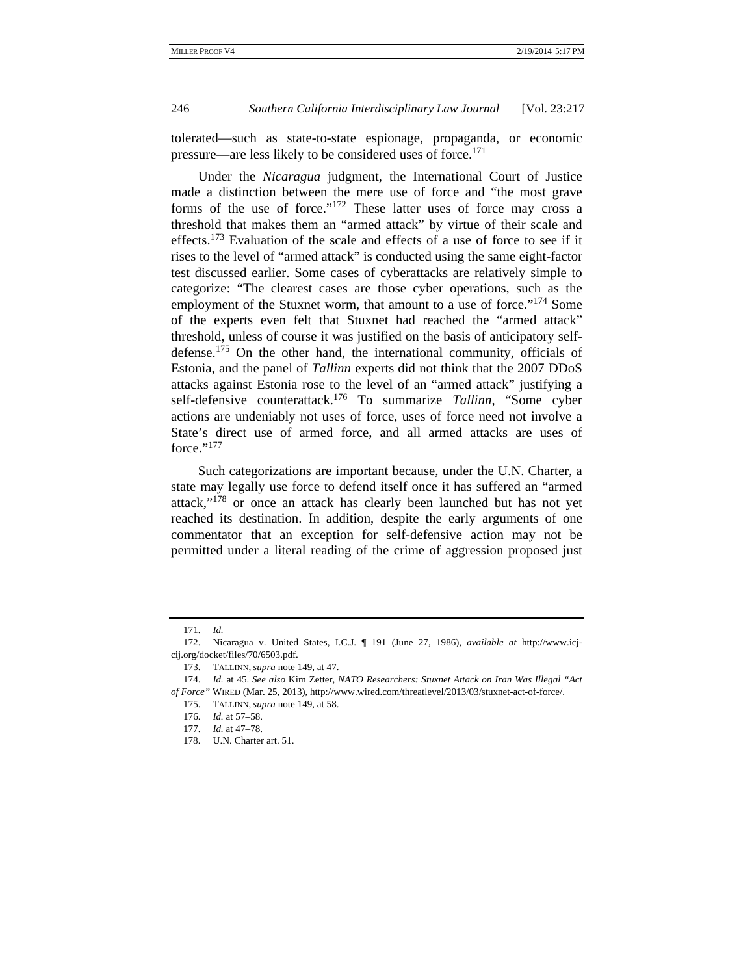tolerated—such as state-to-state espionage, propaganda, or economic pressure—are less likely to be considered uses of force.<sup>171</sup>

Under the *Nicaragua* judgment, the International Court of Justice made a distinction between the mere use of force and "the most grave forms of the use of force."172 These latter uses of force may cross a threshold that makes them an "armed attack" by virtue of their scale and effects.173 Evaluation of the scale and effects of a use of force to see if it rises to the level of "armed attack" is conducted using the same eight-factor test discussed earlier. Some cases of cyberattacks are relatively simple to categorize: "The clearest cases are those cyber operations, such as the employment of the Stuxnet worm, that amount to a use of force."<sup>174</sup> Some of the experts even felt that Stuxnet had reached the "armed attack" threshold, unless of course it was justified on the basis of anticipatory selfdefense.175 On the other hand, the international community, officials of Estonia, and the panel of *Tallinn* experts did not think that the 2007 DDoS attacks against Estonia rose to the level of an "armed attack" justifying a self-defensive counterattack.176 To summarize *Tallinn*, "Some cyber actions are undeniably not uses of force, uses of force need not involve a State's direct use of armed force, and all armed attacks are uses of force."<sup>177</sup>

Such categorizations are important because, under the U.N. Charter, a state may legally use force to defend itself once it has suffered an "armed attack,"178 or once an attack has clearly been launched but has not yet reached its destination. In addition, despite the early arguments of one commentator that an exception for self-defensive action may not be permitted under a literal reading of the crime of aggression proposed just

 <sup>171.</sup> *Id.*

 <sup>172.</sup> Nicaragua v. United States, I.C.J. ¶ 191 (June 27, 1986), *available at* http://www.icjcij.org/docket/files/70/6503.pdf.

 <sup>173.</sup> TALLINN, *supra* note 149, at 47.

 <sup>174.</sup> *Id.* at 45. *See also* Kim Zetter, *NATO Researchers: Stuxnet Attack on Iran Was Illegal "Act of Force"* WIRED (Mar. 25, 2013), http://www.wired.com/threatlevel/2013/03/stuxnet-act-of-force/.

 <sup>175.</sup> TALLINN, *supra* note 149, at 58.

 <sup>176.</sup> *Id.* at 57–58.

 <sup>177.</sup> *Id.* at 47–78.

 <sup>178.</sup> U.N. Charter art. 51.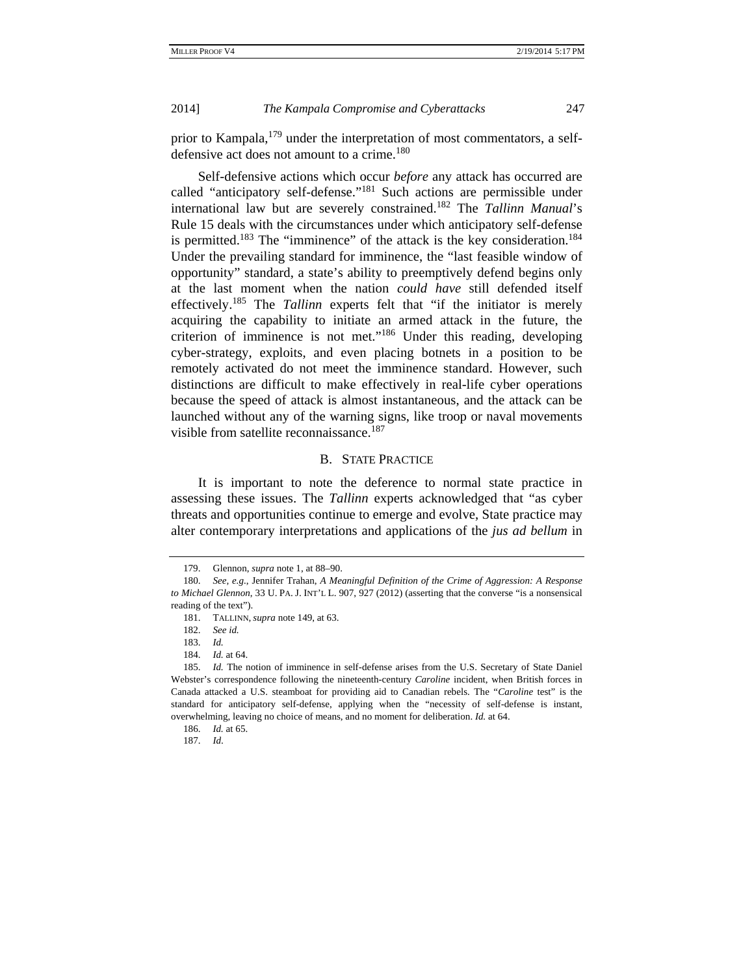prior to Kampala,  $179$  under the interpretation of most commentators, a selfdefensive act does not amount to a crime.<sup>180</sup>

Self-defensive actions which occur *before* any attack has occurred are called "anticipatory self-defense."181 Such actions are permissible under international law but are severely constrained.182 The *Tallinn Manual*'s Rule 15 deals with the circumstances under which anticipatory self-defense is permitted.<sup>183</sup> The "imminence" of the attack is the key consideration.<sup>184</sup> Under the prevailing standard for imminence, the "last feasible window of opportunity" standard, a state's ability to preemptively defend begins only at the last moment when the nation *could have* still defended itself effectively.185 The *Tallinn* experts felt that "if the initiator is merely acquiring the capability to initiate an armed attack in the future, the criterion of imminence is not met."186 Under this reading, developing cyber-strategy, exploits, and even placing botnets in a position to be remotely activated do not meet the imminence standard. However, such distinctions are difficult to make effectively in real-life cyber operations because the speed of attack is almost instantaneous, and the attack can be launched without any of the warning signs, like troop or naval movements visible from satellite reconnaissance.<sup>187</sup>

## B. STATE PRACTICE

It is important to note the deference to normal state practice in assessing these issues. The *Tallinn* experts acknowledged that "as cyber threats and opportunities continue to emerge and evolve, State practice may alter contemporary interpretations and applications of the *jus ad bellum* in

 <sup>179.</sup> Glennon, *supra* note 1, at 88–90.

 <sup>180.</sup> *See, e.g.*, Jennifer Trahan, *A Meaningful Definition of the Crime of Aggression: A Response to Michael Glennon*, 33 U. PA. J. INT'L L. 907, 927 (2012) (asserting that the converse "is a nonsensical reading of the text").

 <sup>181.</sup> TALLINN, *supra* note 149, at 63.

 <sup>182.</sup> *See id.*

 <sup>183.</sup> *Id.*

 <sup>184.</sup> *Id.* at 64.

 <sup>185.</sup> *Id.* The notion of imminence in self-defense arises from the U.S. Secretary of State Daniel Webster's correspondence following the nineteenth-century *Caroline* incident, when British forces in Canada attacked a U.S. steamboat for providing aid to Canadian rebels. The "*Caroline* test" is the standard for anticipatory self-defense, applying when the "necessity of self-defense is instant, overwhelming, leaving no choice of means, and no moment for deliberation. *Id.* at 64.

 <sup>186.</sup> *Id.* at 65.

 <sup>187.</sup> *Id*.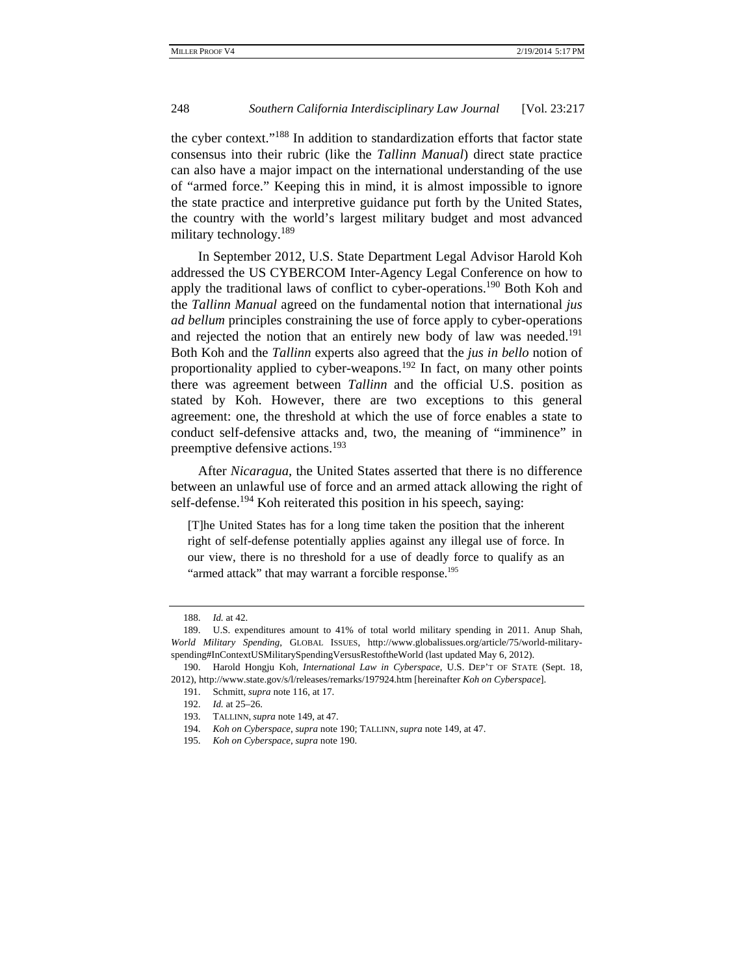the cyber context."188 In addition to standardization efforts that factor state consensus into their rubric (like the *Tallinn Manual*) direct state practice can also have a major impact on the international understanding of the use of "armed force." Keeping this in mind, it is almost impossible to ignore the state practice and interpretive guidance put forth by the United States, the country with the world's largest military budget and most advanced military technology.<sup>189</sup>

In September 2012, U.S. State Department Legal Advisor Harold Koh addressed the US CYBERCOM Inter-Agency Legal Conference on how to apply the traditional laws of conflict to cyber-operations.<sup>190</sup> Both Koh and the *Tallinn Manual* agreed on the fundamental notion that international *jus ad bellum* principles constraining the use of force apply to cyber-operations and rejected the notion that an entirely new body of law was needed.<sup>191</sup> Both Koh and the *Tallinn* experts also agreed that the *jus in bello* notion of proportionality applied to cyber-weapons.<sup>192</sup> In fact, on many other points there was agreement between *Tallinn* and the official U.S. position as stated by Koh. However, there are two exceptions to this general agreement: one, the threshold at which the use of force enables a state to conduct self-defensive attacks and, two, the meaning of "imminence" in preemptive defensive actions.<sup>193</sup>

After *Nicaragua*, the United States asserted that there is no difference between an unlawful use of force and an armed attack allowing the right of self-defense.<sup>194</sup> Koh reiterated this position in his speech, saying:

[T]he United States has for a long time taken the position that the inherent right of self-defense potentially applies against any illegal use of force. In our view, there is no threshold for a use of deadly force to qualify as an "armed attack" that may warrant a forcible response.<sup>195</sup>

 <sup>188.</sup> *Id.* at 42.

 <sup>189.</sup> U.S. expenditures amount to 41% of total world military spending in 2011. Anup Shah, *World Military Spending*, GLOBAL ISSUES, http://www.globalissues.org/article/75/world-militaryspending#InContextUSMilitarySpendingVersusRestoftheWorld (last updated May 6, 2012).

 <sup>190.</sup> Harold Hongju Koh, *International Law in Cyberspace*, U.S. DEP'T OF STATE (Sept. 18, 2012), http://www.state.gov/s/l/releases/remarks/197924.htm [hereinafter *Koh on Cyberspace*].

 <sup>191.</sup> Schmitt, *supra* note 116, at 17.

 <sup>192.</sup> *Id.* at 25–26.

 <sup>193.</sup> TALLINN, *supra* note 149, at 47.

 <sup>194.</sup> *Koh on Cyberspace*, *supra* note 190; TALLINN, *supra* note 149, at 47.

 <sup>195.</sup> *Koh on Cyberspace*, *supra* note 190.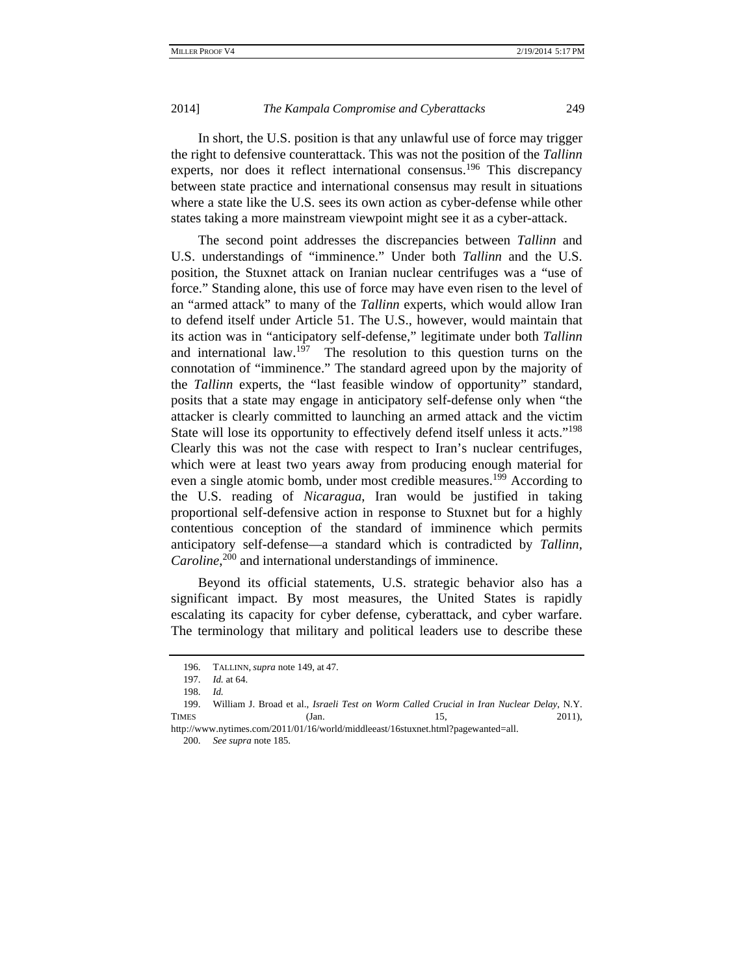In short, the U.S. position is that any unlawful use of force may trigger the right to defensive counterattack. This was not the position of the *Tallinn* experts, nor does it reflect international consensus.<sup>196</sup> This discrepancy between state practice and international consensus may result in situations where a state like the U.S. sees its own action as cyber-defense while other states taking a more mainstream viewpoint might see it as a cyber-attack.

The second point addresses the discrepancies between *Tallinn* and U.S. understandings of "imminence." Under both *Tallinn* and the U.S. position, the Stuxnet attack on Iranian nuclear centrifuges was a "use of force." Standing alone, this use of force may have even risen to the level of an "armed attack" to many of the *Tallinn* experts, which would allow Iran to defend itself under Article 51. The U.S., however, would maintain that its action was in "anticipatory self-defense," legitimate under both *Tallinn* and international law.<sup>197</sup> The resolution to this question turns on the connotation of "imminence." The standard agreed upon by the majority of the *Tallinn* experts, the "last feasible window of opportunity" standard, posits that a state may engage in anticipatory self-defense only when "the attacker is clearly committed to launching an armed attack and the victim State will lose its opportunity to effectively defend itself unless it acts."<sup>198</sup> Clearly this was not the case with respect to Iran's nuclear centrifuges, which were at least two years away from producing enough material for even a single atomic bomb, under most credible measures.<sup>199</sup> According to the U.S. reading of *Nicaragua*, Iran would be justified in taking proportional self-defensive action in response to Stuxnet but for a highly contentious conception of the standard of imminence which permits anticipatory self-defense—a standard which is contradicted by *Tallinn,* Caroline,<sup>200</sup> and international understandings of imminence.

Beyond its official statements, U.S. strategic behavior also has a significant impact. By most measures, the United States is rapidly escalating its capacity for cyber defense, cyberattack, and cyber warfare. The terminology that military and political leaders use to describe these

 <sup>196.</sup> TALLINN, *supra* note 149, at 47.

 <sup>197.</sup> *Id.* at 64.

 <sup>198.</sup> *Id.*

 <sup>199.</sup> William J. Broad et al., *Israeli Test on Worm Called Crucial in Iran Nuclear Delay*, N.Y. TIMES (Jan. 15, 2011),

http://www.nytimes.com/2011/01/16/world/middleeast/16stuxnet.html?pagewanted=all. 200. *See supra* note 185.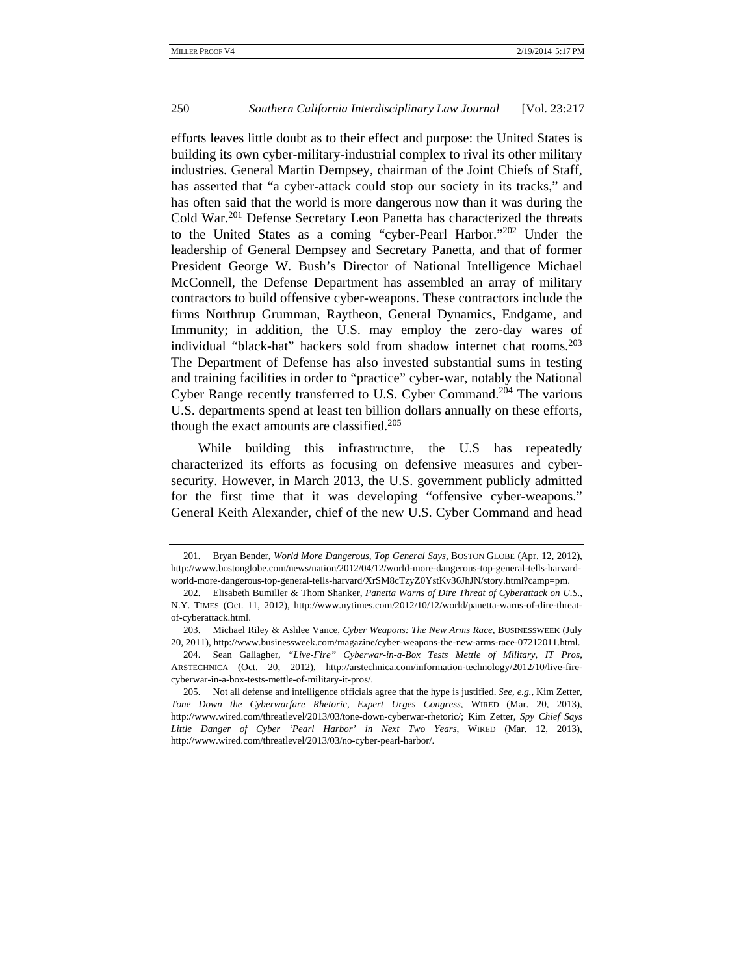efforts leaves little doubt as to their effect and purpose: the United States is building its own cyber-military-industrial complex to rival its other military industries. General Martin Dempsey, chairman of the Joint Chiefs of Staff, has asserted that "a cyber-attack could stop our society in its tracks," and has often said that the world is more dangerous now than it was during the Cold War.201 Defense Secretary Leon Panetta has characterized the threats to the United States as a coming "cyber-Pearl Harbor."202 Under the leadership of General Dempsey and Secretary Panetta, and that of former President George W. Bush's Director of National Intelligence Michael McConnell, the Defense Department has assembled an array of military contractors to build offensive cyber-weapons. These contractors include the firms Northrup Grumman, Raytheon, General Dynamics, Endgame, and Immunity; in addition, the U.S. may employ the zero-day wares of individual "black-hat" hackers sold from shadow internet chat rooms.<sup>203</sup> The Department of Defense has also invested substantial sums in testing and training facilities in order to "practice" cyber-war, notably the National Cyber Range recently transferred to U.S. Cyber Command.<sup>204</sup> The various U.S. departments spend at least ten billion dollars annually on these efforts, though the exact amounts are classified.<sup>205</sup>

While building this infrastructure, the U.S has repeatedly characterized its efforts as focusing on defensive measures and cybersecurity. However, in March 2013, the U.S. government publicly admitted for the first time that it was developing "offensive cyber-weapons." General Keith Alexander, chief of the new U.S. Cyber Command and head

 <sup>201.</sup> Bryan Bender, *World More Dangerous, Top General Says*, BOSTON GLOBE (Apr. 12, 2012), http://www.bostonglobe.com/news/nation/2012/04/12/world-more-dangerous-top-general-tells-harvardworld-more-dangerous-top-general-tells-harvard/XrSM8cTzyZ0YstKv36JhJN/story.html?camp=pm.

 <sup>202.</sup> Elisabeth Bumiller & Thom Shanker, *Panetta Warns of Dire Threat of Cyberattack on U.S.*, N.Y. TIMES (Oct. 11, 2012), http://www.nytimes.com/2012/10/12/world/panetta-warns-of-dire-threatof-cyberattack.html.

 <sup>203.</sup> Michael Riley & Ashlee Vance, *Cyber Weapons: The New Arms Race,* BUSINESSWEEK (July 20, 2011), http://www.businessweek.com/magazine/cyber-weapons-the-new-arms-race-07212011.html.

 <sup>204.</sup> Sean Gallagher, *"Live-Fire" Cyberwar-in-a-Box Tests Mettle of Military, IT Pros*, ARSTECHNICA (Oct. 20, 2012), http://arstechnica.com/information-technology/2012/10/live-firecyberwar-in-a-box-tests-mettle-of-military-it-pros/.

 <sup>205.</sup> Not all defense and intelligence officials agree that the hype is justified. *See, e.g.*, Kim Zetter, *Tone Down the Cyberwarfare Rhetoric, Expert Urges Congress*, WIRED (Mar. 20, 2013), http://www.wired.com/threatlevel/2013/03/tone-down-cyberwar-rhetoric/; Kim Zetter, *Spy Chief Says Little Danger of Cyber 'Pearl Harbor' in Next Two Years*, WIRED (Mar. 12, 2013), http://www.wired.com/threatlevel/2013/03/no-cyber-pearl-harbor/.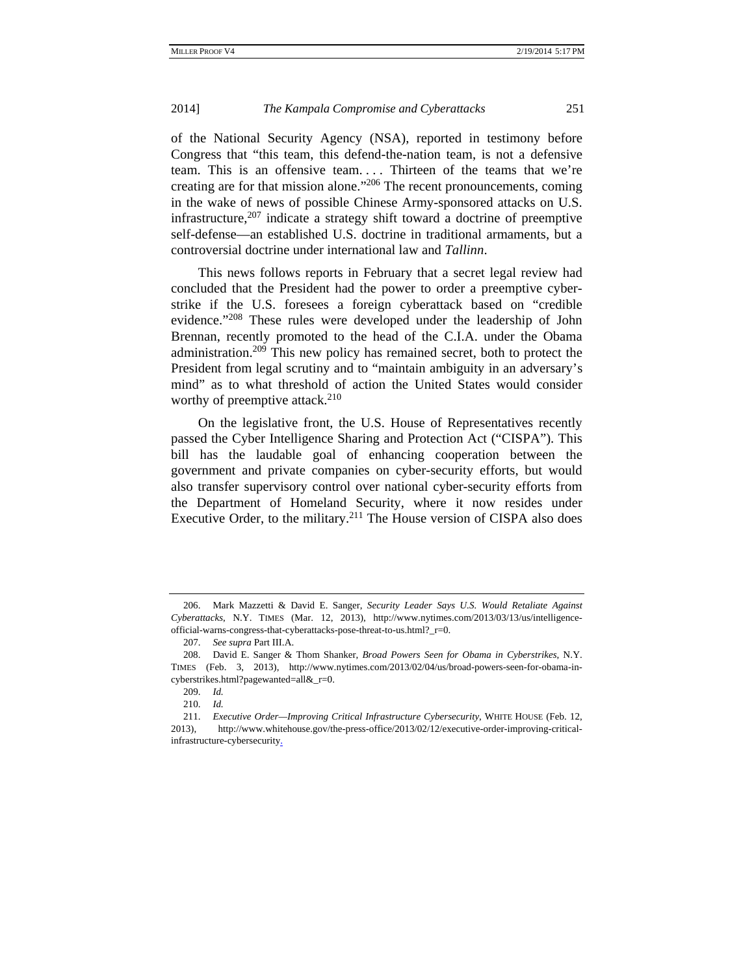of the National Security Agency (NSA), reported in testimony before Congress that "this team, this defend-the-nation team, is not a defensive team. This is an offensive team.... Thirteen of the teams that we're creating are for that mission alone."206 The recent pronouncements, coming in the wake of news of possible Chinese Army-sponsored attacks on U.S. infrastructure,  $207$  indicate a strategy shift toward a doctrine of preemptive self-defense—an established U.S. doctrine in traditional armaments, but a controversial doctrine under international law and *Tallinn*.

This news follows reports in February that a secret legal review had concluded that the President had the power to order a preemptive cyberstrike if the U.S. foresees a foreign cyberattack based on "credible evidence."208 These rules were developed under the leadership of John Brennan, recently promoted to the head of the C.I.A. under the Obama administration.<sup>209</sup> This new policy has remained secret, both to protect the President from legal scrutiny and to "maintain ambiguity in an adversary's mind" as to what threshold of action the United States would consider worthy of preemptive attack. $210$ 

On the legislative front, the U.S. House of Representatives recently passed the Cyber Intelligence Sharing and Protection Act ("CISPA"). This bill has the laudable goal of enhancing cooperation between the government and private companies on cyber-security efforts, but would also transfer supervisory control over national cyber-security efforts from the Department of Homeland Security, where it now resides under Executive Order, to the military.<sup>211</sup> The House version of CISPA also does

 <sup>206.</sup> Mark Mazzetti & David E. Sanger, *Security Leader Says U.S. Would Retaliate Against Cyberattacks*, N.Y. TIMES (Mar. 12, 2013), http://www.nytimes.com/2013/03/13/us/intelligenceofficial-warns-congress-that-cyberattacks-pose-threat-to-us.html?\_r=0.

 <sup>207.</sup> *See supra* Part III.A.

 <sup>208.</sup> David E. Sanger & Thom Shanker, *Broad Powers Seen for Obama in Cyberstrikes*, N.Y. TIMES (Feb. 3, 2013), http://www.nytimes.com/2013/02/04/us/broad-powers-seen-for-obama-incyberstrikes.html?pagewanted=all&\_r=0.

 <sup>209.</sup> *Id.*

 <sup>210.</sup> *Id.*

 <sup>211.</sup> *Executive Order—Improving Critical Infrastructure Cybersecurity*, WHITE HOUSE (Feb. 12, 2013), http://www.whitehouse.gov/the-press-office/2013/02/12/executive-order-improving-criticalinfrastructure-cybersecurity.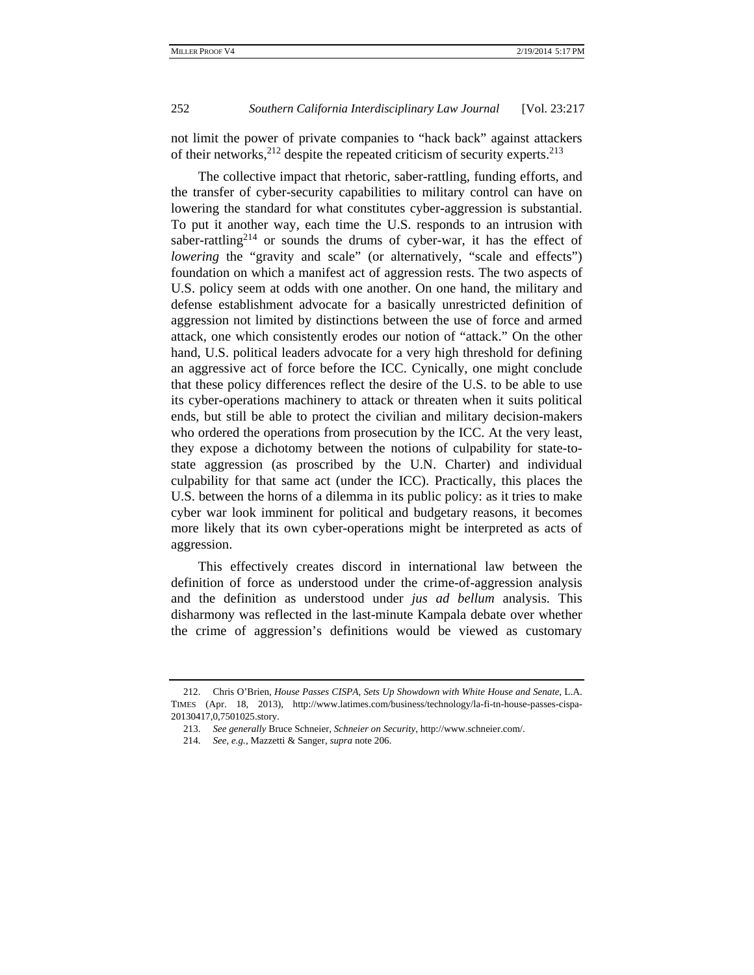not limit the power of private companies to "hack back" against attackers of their networks,  $2^{12}$  despite the repeated criticism of security experts.  $2^{13}$ 

The collective impact that rhetoric, saber-rattling, funding efforts, and the transfer of cyber-security capabilities to military control can have on lowering the standard for what constitutes cyber-aggression is substantial. To put it another way, each time the U.S. responds to an intrusion with saber-rattling<sup>214</sup> or sounds the drums of cyber-war, it has the effect of *lowering* the "gravity and scale" (or alternatively, "scale and effects") foundation on which a manifest act of aggression rests. The two aspects of U.S. policy seem at odds with one another. On one hand, the military and defense establishment advocate for a basically unrestricted definition of aggression not limited by distinctions between the use of force and armed attack, one which consistently erodes our notion of "attack." On the other hand, U.S. political leaders advocate for a very high threshold for defining an aggressive act of force before the ICC. Cynically, one might conclude that these policy differences reflect the desire of the U.S. to be able to use its cyber-operations machinery to attack or threaten when it suits political ends, but still be able to protect the civilian and military decision-makers who ordered the operations from prosecution by the ICC. At the very least, they expose a dichotomy between the notions of culpability for state-tostate aggression (as proscribed by the U.N. Charter) and individual culpability for that same act (under the ICC). Practically, this places the U.S. between the horns of a dilemma in its public policy: as it tries to make cyber war look imminent for political and budgetary reasons, it becomes more likely that its own cyber-operations might be interpreted as acts of aggression.

This effectively creates discord in international law between the definition of force as understood under the crime-of-aggression analysis and the definition as understood under *jus ad bellum* analysis. This disharmony was reflected in the last-minute Kampala debate over whether the crime of aggression's definitions would be viewed as customary

 <sup>212.</sup> Chris O'Brien, *House Passes CISPA, Sets Up Showdown with White House and Senate*, L.A. TIMES (Apr. 18, 2013), http://www.latimes.com/business/technology/la-fi-tn-house-passes-cispa-20130417,0,7501025.story.

 <sup>213.</sup> *See generally* Bruce Schneier, *Schneier on Security*, http://www.schneier.com/.

 <sup>214.</sup> *See, e.g.*, Mazzetti & Sanger, *supra* note 206.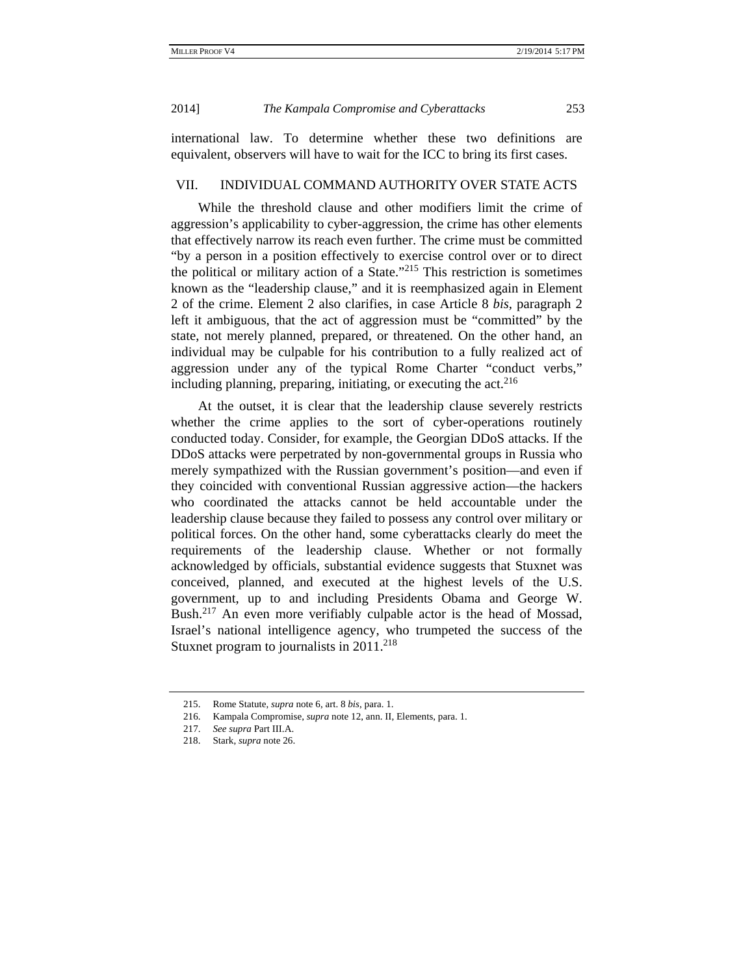international law. To determine whether these two definitions are equivalent, observers will have to wait for the ICC to bring its first cases.

## VII. INDIVIDUAL COMMAND AUTHORITY OVER STATE ACTS

While the threshold clause and other modifiers limit the crime of aggression's applicability to cyber-aggression, the crime has other elements that effectively narrow its reach even further. The crime must be committed "by a person in a position effectively to exercise control over or to direct the political or military action of a State."215 This restriction is sometimes known as the "leadership clause," and it is reemphasized again in Element 2 of the crime. Element 2 also clarifies, in case Article 8 *bis,* paragraph 2 left it ambiguous, that the act of aggression must be "committed" by the state, not merely planned, prepared, or threatened. On the other hand, an individual may be culpable for his contribution to a fully realized act of aggression under any of the typical Rome Charter "conduct verbs," including planning, preparing, initiating, or executing the  $act.^{216}$ 

At the outset, it is clear that the leadership clause severely restricts whether the crime applies to the sort of cyber-operations routinely conducted today. Consider, for example, the Georgian DDoS attacks. If the DDoS attacks were perpetrated by non-governmental groups in Russia who merely sympathized with the Russian government's position—and even if they coincided with conventional Russian aggressive action—the hackers who coordinated the attacks cannot be held accountable under the leadership clause because they failed to possess any control over military or political forces. On the other hand, some cyberattacks clearly do meet the requirements of the leadership clause. Whether or not formally acknowledged by officials, substantial evidence suggests that Stuxnet was conceived, planned, and executed at the highest levels of the U.S. government, up to and including Presidents Obama and George W. Bush.<sup>217</sup> An even more verifiably culpable actor is the head of Mossad, Israel's national intelligence agency, who trumpeted the success of the Stuxnet program to journalists in  $2011$ <sup>218</sup>

 <sup>215.</sup> Rome Statute, *supra* note 6, art. 8 *bis*, para. 1.

 <sup>216.</sup> Kampala Compromise, *supra* note 12, ann. II, Elements, para. 1.

 <sup>217.</sup> *See supra* Part III.A.

 <sup>218.</sup> Stark, *supra* note 26.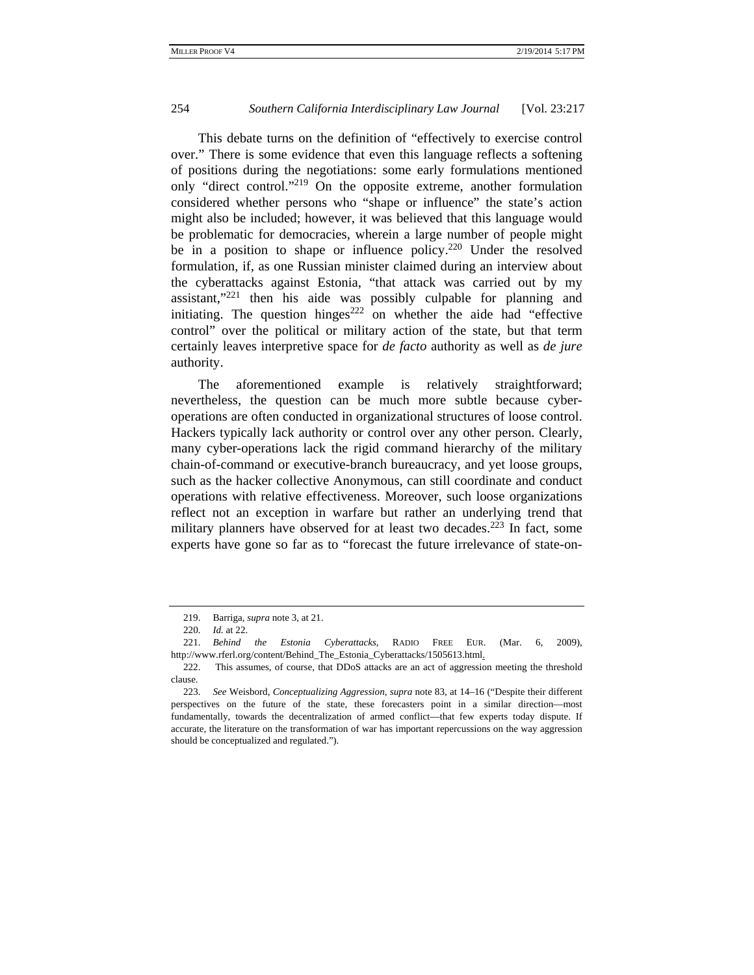This debate turns on the definition of "effectively to exercise control over." There is some evidence that even this language reflects a softening of positions during the negotiations: some early formulations mentioned only "direct control."<sup>219</sup> On the opposite extreme, another formulation considered whether persons who "shape or influence" the state's action might also be included; however, it was believed that this language would be problematic for democracies, wherein a large number of people might be in a position to shape or influence policy.<sup>220</sup> Under the resolved formulation, if, as one Russian minister claimed during an interview about the cyberattacks against Estonia, "that attack was carried out by my assistant,"221 then his aide was possibly culpable for planning and initiating. The question hinges<sup>222</sup> on whether the aide had "effective control" over the political or military action of the state, but that term certainly leaves interpretive space for *de facto* authority as well as *de jure* authority.

The aforementioned example is relatively straightforward; nevertheless, the question can be much more subtle because cyberoperations are often conducted in organizational structures of loose control. Hackers typically lack authority or control over any other person. Clearly, many cyber-operations lack the rigid command hierarchy of the military chain-of-command or executive-branch bureaucracy, and yet loose groups, such as the hacker collective Anonymous, can still coordinate and conduct operations with relative effectiveness. Moreover, such loose organizations reflect not an exception in warfare but rather an underlying trend that military planners have observed for at least two decades.<sup>223</sup> In fact, some experts have gone so far as to "forecast the future irrelevance of state-on-

 <sup>219.</sup> Barriga, *supra* note 3, at 21.

 <sup>220.</sup> *Id.* at 22.

 <sup>221.</sup> *Behind the Estonia Cyberattacks*, RADIO FREE EUR. (Mar. 6, 2009), http://www.rferl.org/content/Behind\_The\_Estonia\_Cyberattacks/1505613.html.

 <sup>222.</sup> This assumes, of course, that DDoS attacks are an act of aggression meeting the threshold clause.

 <sup>223.</sup> *See* Weisbord, *Conceptualizing Aggression*, *supra* note 83, at 14–16 ("Despite their different perspectives on the future of the state, these forecasters point in a similar direction––most fundamentally, towards the decentralization of armed conflict––that few experts today dispute. If accurate, the literature on the transformation of war has important repercussions on the way aggression should be conceptualized and regulated.").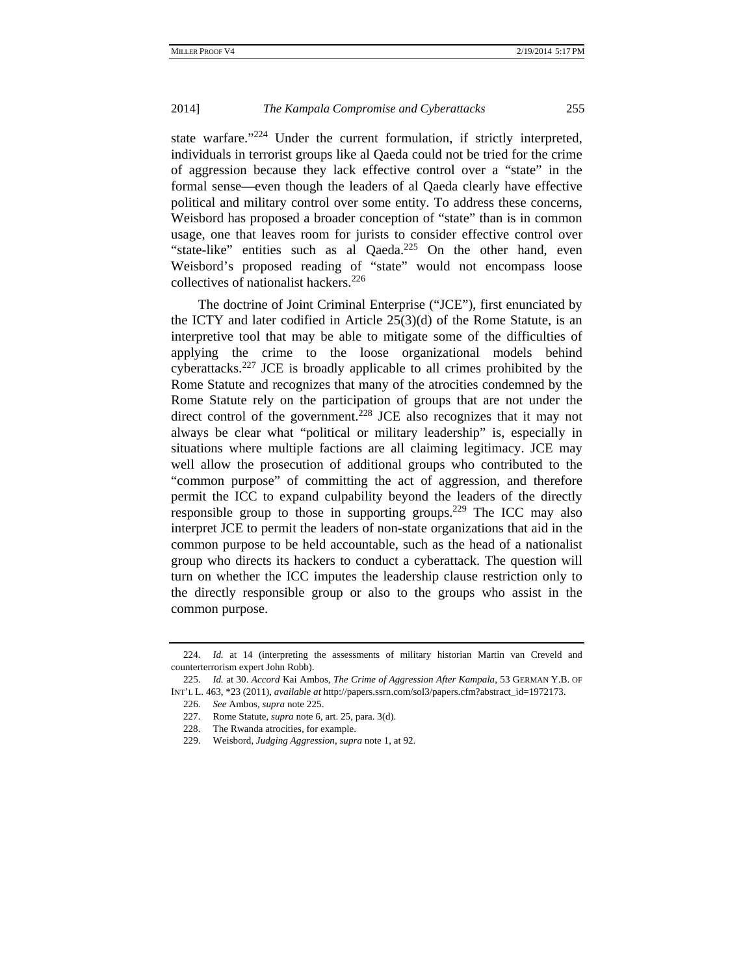state warfare."<sup>224</sup> Under the current formulation, if strictly interpreted, individuals in terrorist groups like al Qaeda could not be tried for the crime of aggression because they lack effective control over a "state" in the formal sense—even though the leaders of al Qaeda clearly have effective political and military control over some entity*.* To address these concerns, Weisbord has proposed a broader conception of "state" than is in common usage, one that leaves room for jurists to consider effective control over "state-like" entities such as al Qaeda.<sup>225</sup> On the other hand, even Weisbord's proposed reading of "state" would not encompass loose collectives of nationalist hackers.<sup>226</sup>

The doctrine of Joint Criminal Enterprise ("JCE"), first enunciated by the ICTY and later codified in Article 25(3)(d) of the Rome Statute, is an interpretive tool that may be able to mitigate some of the difficulties of applying the crime to the loose organizational models behind cyberattacks.<sup>227</sup> JCE is broadly applicable to all crimes prohibited by the Rome Statute and recognizes that many of the atrocities condemned by the Rome Statute rely on the participation of groups that are not under the direct control of the government.<sup>228</sup> JCE also recognizes that it may not always be clear what "political or military leadership" is, especially in situations where multiple factions are all claiming legitimacy. JCE may well allow the prosecution of additional groups who contributed to the "common purpose" of committing the act of aggression, and therefore permit the ICC to expand culpability beyond the leaders of the directly responsible group to those in supporting groups.<sup>229</sup> The ICC may also interpret JCE to permit the leaders of non-state organizations that aid in the common purpose to be held accountable, such as the head of a nationalist group who directs its hackers to conduct a cyberattack. The question will turn on whether the ICC imputes the leadership clause restriction only to the directly responsible group or also to the groups who assist in the common purpose.

 <sup>224.</sup> *Id.* at 14 (interpreting the assessments of military historian Martin van Creveld and counterterrorism expert John Robb).

 <sup>225.</sup> *Id.* at 30. *Accord* Kai Ambos, *The Crime of Aggression After Kampala*, 53 GERMAN Y.B. OF INT'L L. 463, \*23 (2011), *available at* http://papers.ssrn.com/sol3/papers.cfm?abstract\_id=1972173.

 <sup>226.</sup> *See* Ambos*, supra* note 225.

 <sup>227.</sup> Rome Statute, *supra* note 6, art. 25, para. 3(d).

 <sup>228.</sup> The Rwanda atrocities, for example.

 <sup>229.</sup> Weisbord, *Judging Aggression*, *supra* note 1, at 92.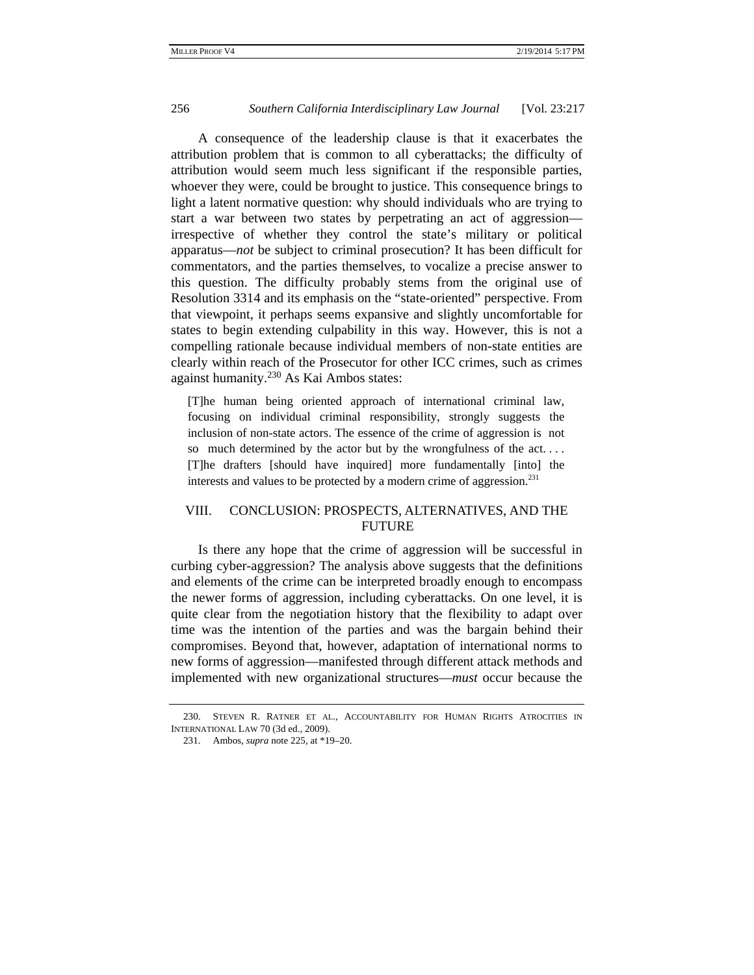A consequence of the leadership clause is that it exacerbates the attribution problem that is common to all cyberattacks; the difficulty of attribution would seem much less significant if the responsible parties, whoever they were, could be brought to justice. This consequence brings to light a latent normative question: why should individuals who are trying to start a war between two states by perpetrating an act of aggression irrespective of whether they control the state's military or political apparatus—*not* be subject to criminal prosecution? It has been difficult for commentators, and the parties themselves, to vocalize a precise answer to this question. The difficulty probably stems from the original use of Resolution 3314 and its emphasis on the "state-oriented" perspective. From that viewpoint, it perhaps seems expansive and slightly uncomfortable for states to begin extending culpability in this way. However, this is not a compelling rationale because individual members of non-state entities are clearly within reach of the Prosecutor for other ICC crimes, such as crimes against humanity.230 As Kai Ambos states:

[T]he human being oriented approach of international criminal law, focusing on individual criminal responsibility, strongly suggests the inclusion of non-state actors. The essence of the crime of aggression is not so much determined by the actor but by the wrongfulness of the act. . . . [T]he drafters [should have inquired] more fundamentally [into] the interests and values to be protected by a modern crime of aggression.<sup>231</sup>

## VIII. CONCLUSION: PROSPECTS, ALTERNATIVES, AND THE FUTURE

Is there any hope that the crime of aggression will be successful in curbing cyber-aggression? The analysis above suggests that the definitions and elements of the crime can be interpreted broadly enough to encompass the newer forms of aggression, including cyberattacks. On one level, it is quite clear from the negotiation history that the flexibility to adapt over time was the intention of the parties and was the bargain behind their compromises. Beyond that, however, adaptation of international norms to new forms of aggression—manifested through different attack methods and implemented with new organizational structures—*must* occur because the

 <sup>230.</sup> STEVEN R. RATNER ET AL., ACCOUNTABILITY FOR HUMAN RIGHTS ATROCITIES IN INTERNATIONAL LAW 70 (3d ed., 2009).

 <sup>231.</sup> Ambos, *supra* note 225, at \*19–20.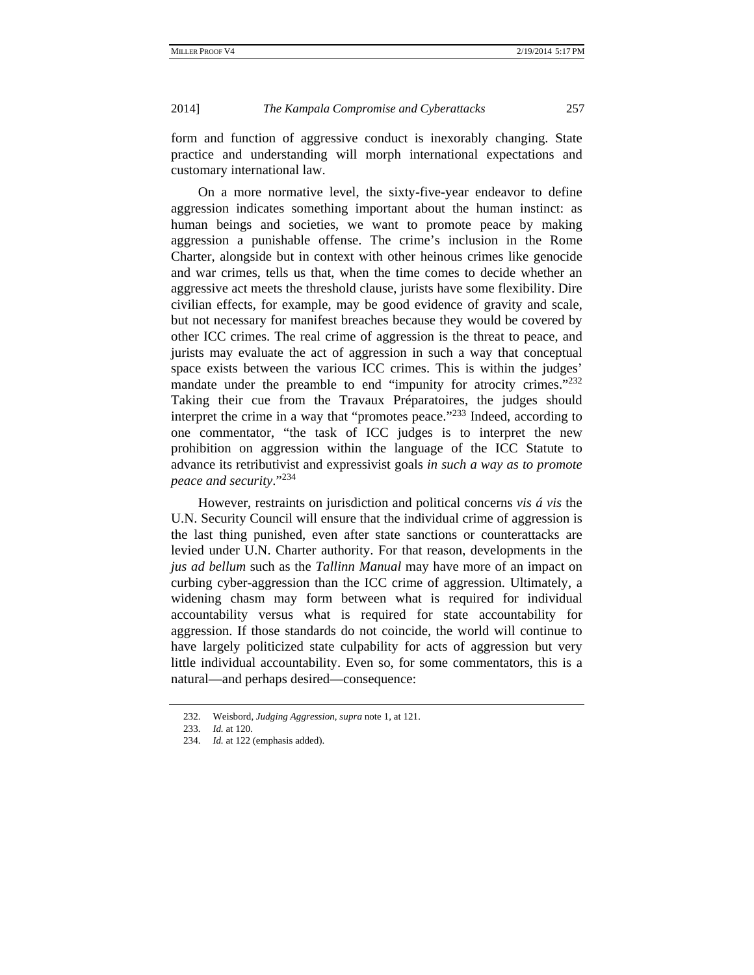form and function of aggressive conduct is inexorably changing. State practice and understanding will morph international expectations and customary international law.

On a more normative level, the sixty-five-year endeavor to define aggression indicates something important about the human instinct: as human beings and societies, we want to promote peace by making aggression a punishable offense. The crime's inclusion in the Rome Charter, alongside but in context with other heinous crimes like genocide and war crimes, tells us that, when the time comes to decide whether an aggressive act meets the threshold clause, jurists have some flexibility. Dire civilian effects, for example, may be good evidence of gravity and scale, but not necessary for manifest breaches because they would be covered by other ICC crimes. The real crime of aggression is the threat to peace, and jurists may evaluate the act of aggression in such a way that conceptual space exists between the various ICC crimes. This is within the judges' mandate under the preamble to end "impunity for atrocity crimes."<sup>232</sup> Taking their cue from the Travaux Préparatoires, the judges should interpret the crime in a way that "promotes peace."<sup>233</sup> Indeed, according to one commentator, "the task of ICC judges is to interpret the new prohibition on aggression within the language of the ICC Statute to advance its retributivist and expressivist goals *in such a way as to promote peace and security*."<sup>234</sup>

However, restraints on jurisdiction and political concerns *vis á vis* the U.N. Security Council will ensure that the individual crime of aggression is the last thing punished, even after state sanctions or counterattacks are levied under U.N. Charter authority. For that reason, developments in the *jus ad bellum* such as the *Tallinn Manual* may have more of an impact on curbing cyber-aggression than the ICC crime of aggression. Ultimately, a widening chasm may form between what is required for individual accountability versus what is required for state accountability for aggression. If those standards do not coincide, the world will continue to have largely politicized state culpability for acts of aggression but very little individual accountability. Even so, for some commentators, this is a natural—and perhaps desired—consequence:

 <sup>232.</sup> Weisbord, *Judging Aggression*, *supra* note 1, at 121.

 <sup>233.</sup> *Id.* at 120.

 <sup>234.</sup> *Id.* at 122 (emphasis added).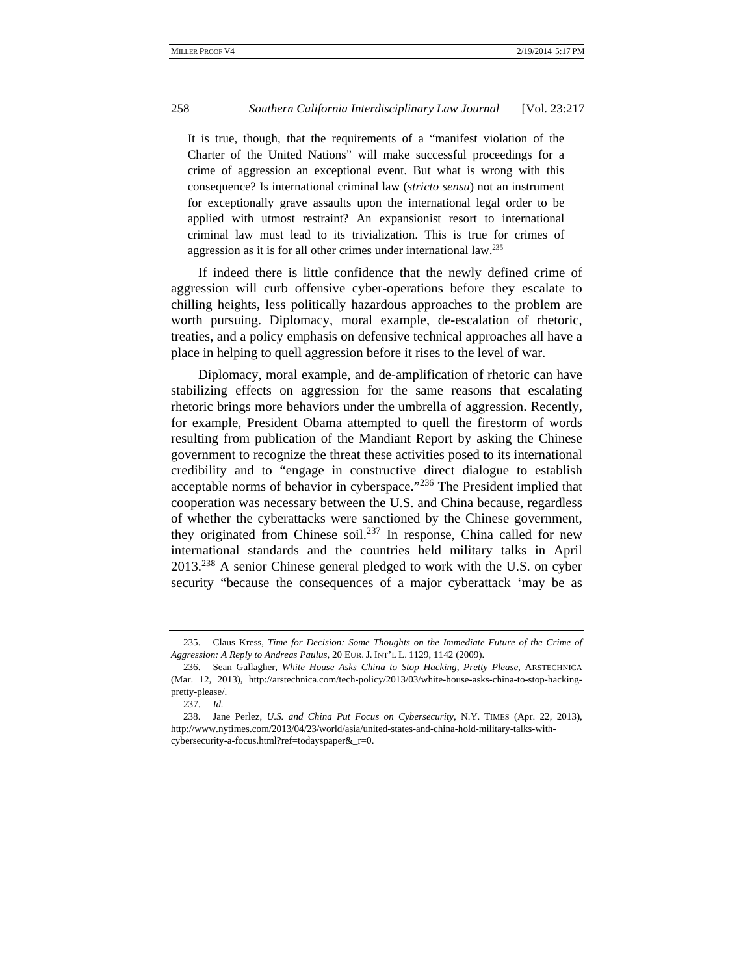It is true, though, that the requirements of a "manifest violation of the Charter of the United Nations" will make successful proceedings for a crime of aggression an exceptional event. But what is wrong with this consequence? Is international criminal law (*stricto sensu*) not an instrument for exceptionally grave assaults upon the international legal order to be applied with utmost restraint? An expansionist resort to international criminal law must lead to its trivialization. This is true for crimes of aggression as it is for all other crimes under international law.235

If indeed there is little confidence that the newly defined crime of aggression will curb offensive cyber-operations before they escalate to chilling heights, less politically hazardous approaches to the problem are worth pursuing. Diplomacy, moral example, de-escalation of rhetoric, treaties, and a policy emphasis on defensive technical approaches all have a place in helping to quell aggression before it rises to the level of war.

Diplomacy, moral example, and de-amplification of rhetoric can have stabilizing effects on aggression for the same reasons that escalating rhetoric brings more behaviors under the umbrella of aggression. Recently, for example, President Obama attempted to quell the firestorm of words resulting from publication of the Mandiant Report by asking the Chinese government to recognize the threat these activities posed to its international credibility and to "engage in constructive direct dialogue to establish acceptable norms of behavior in cyberspace."<sup>236</sup> The President implied that cooperation was necessary between the U.S. and China because, regardless of whether the cyberattacks were sanctioned by the Chinese government, they originated from Chinese soil.<sup>237</sup> In response, China called for new international standards and the countries held military talks in April 2013.<sup>238</sup> A senior Chinese general pledged to work with the U.S. on cyber security "because the consequences of a major cyberattack 'may be as

 <sup>235.</sup> Claus Kress, *Time for Decision: Some Thoughts on the Immediate Future of the Crime of Aggression: A Reply to Andreas Paulus*, 20 EUR. J. INT'L L. 1129, 1142 (2009).

 <sup>236.</sup> Sean Gallagher, *White House Asks China to Stop Hacking, Pretty Please*, ARSTECHNICA (Mar. 12, 2013), http://arstechnica.com/tech-policy/2013/03/white-house-asks-china-to-stop-hackingpretty-please/.

 <sup>237.</sup> *Id.* 

 <sup>238.</sup> Jane Perlez, *U.S. and China Put Focus on Cybersecurity*, N.Y. TIMES (Apr. 22, 2013), http://www.nytimes.com/2013/04/23/world/asia/united-states-and-china-hold-military-talks-withcybersecurity-a-focus.html?ref=todayspaper&\_r=0.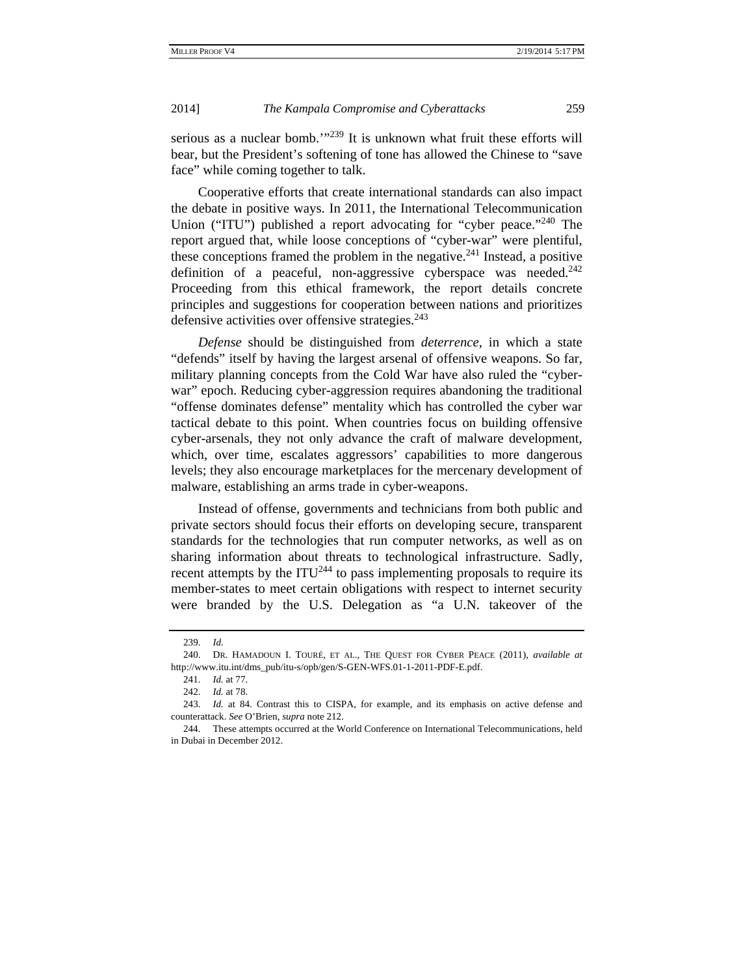serious as a nuclear bomb. $1239$  It is unknown what fruit these efforts will bear, but the President's softening of tone has allowed the Chinese to "save face" while coming together to talk.

Cooperative efforts that create international standards can also impact the debate in positive ways. In 2011, the International Telecommunication Union ("ITU") published a report advocating for "cyber peace."<sup>240</sup> The report argued that, while loose conceptions of "cyber-war" were plentiful, these conceptions framed the problem in the negative.<sup>241</sup> Instead, a positive definition of a peaceful, non-aggressive cyberspace was needed.<sup>242</sup> Proceeding from this ethical framework, the report details concrete principles and suggestions for cooperation between nations and prioritizes defensive activities over offensive strategies. $243$ 

*Defense* should be distinguished from *deterrence*, in which a state "defends" itself by having the largest arsenal of offensive weapons. So far, military planning concepts from the Cold War have also ruled the "cyberwar" epoch. Reducing cyber-aggression requires abandoning the traditional "offense dominates defense" mentality which has controlled the cyber war tactical debate to this point. When countries focus on building offensive cyber-arsenals, they not only advance the craft of malware development, which, over time, escalates aggressors' capabilities to more dangerous levels; they also encourage marketplaces for the mercenary development of malware, establishing an arms trade in cyber-weapons.

Instead of offense, governments and technicians from both public and private sectors should focus their efforts on developing secure, transparent standards for the technologies that run computer networks, as well as on sharing information about threats to technological infrastructure. Sadly, recent attempts by the  $ITU<sup>244</sup>$  to pass implementing proposals to require its member-states to meet certain obligations with respect to internet security were branded by the U.S. Delegation as "a U.N. takeover of the

 <sup>239.</sup> *Id.* 

 <sup>240.</sup> DR. HAMADOUN I. TOURÉ, ET AL., THE QUEST FOR CYBER PEACE (2011), *available at* http://www.itu.int/dms\_pub/itu-s/opb/gen/S-GEN-WFS.01-1-2011-PDF-E.pdf.

 <sup>241.</sup> *Id.* at 77.

 <sup>242.</sup> *Id.* at 78.

 <sup>243.</sup> *Id.* at 84. Contrast this to CISPA, for example, and its emphasis on active defense and counterattack. *See* O'Brien, *supra* note 212.

 <sup>244.</sup> These attempts occurred at the World Conference on International Telecommunications, held in Dubai in December 2012.